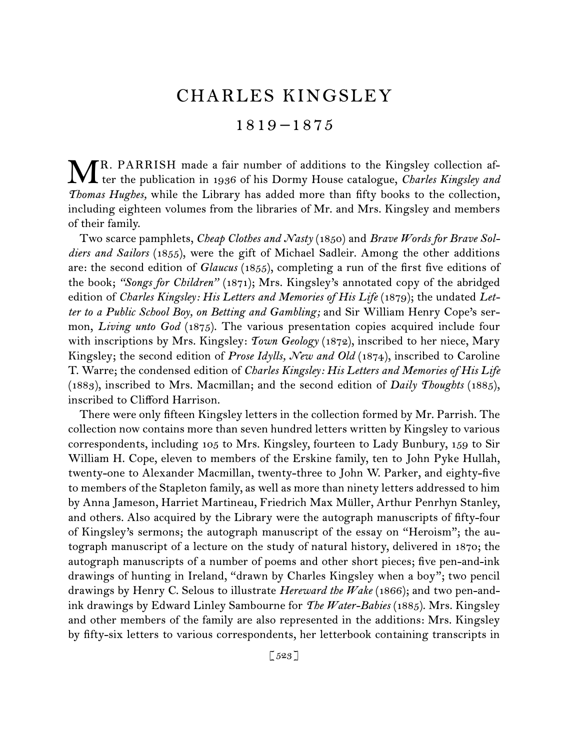# CHARLES KINGSLEY

1819 –1875

R. PARRISH made a fair number of additions to the Kingsley collection af-MR. PARRISH made a fair number of additions to the Kingsley collection af-<br>ter the publication in 1936 of his Dormy House catalogue, *Charles Kingsley and Thomas Hughes,* while the Library has added more than fifty books to the collection, including eighteen volumes from the libraries of Mr. and Mrs. Kingsley and members of their family.

Two scarce pamphlets, *Cheap Clothes and Nasty* (1850) and *Brave Words for Brave Soldiers and Sailors* (1855), were the gift of Michael Sadleir. Among the other additions are: the second edition of *Glaucus* (1855), completing a run of the first five editions of the book; *"Songs for Children"* (1871); Mrs. Kingsley's annotated copy of the abridged edition of *Charles Kingsley: His Letters and Memories of His Life* (1879); the undated Let*ter to a Public School Boy, on Betting and Gambling;* and Sir William Henry Cope's sermon, *Living unto God* (1875). The various presentation copies acquired include four with inscriptions by Mrs. Kingsley: *Town Geology* (1872), inscribed to her niece, Mary Kingsley; the second edition of *Prose Idylls, New and Old* (1874), inscribed to Caroline T. Warre; the condensed edition of *Charles Kingsley: His Letters and Memories of His Life*  (1883), inscribed to Mrs. Macmillan; and the second edition of *Daily Thoughts* (1885), inscribed to Clifford Harrison.

There were only fifteen Kingsley letters in the collection formed by Mr. Parrish. The collection now contains more than seven hundred letters written by Kingsley to various correspondents, including 105 to Mrs. Kingsley, fourteen to Lady Bunbury, 159 to Sir William H. Cope, eleven to members of the Erskine family, ten to John Pyke Hullah, twenty-one to Alexander Macmillan, twenty-three to John W. Parker, and eighty-five to members of the Stapleton family, as well as more than ninety letters addressed to him by Anna Jameson, Harriet Martineau, Friedrich Max Müller, Arthur Penrhyn Stanley, and others. Also acquired by the Library were the autograph manuscripts of fifty-four of Kingsley's sermons; the autograph manuscript of the essay on "Heroism"; the autograph manuscript of a lecture on the study of natural history, delivered in 1870; the autograph manuscripts of a number of poems and other short pieces; five pen-and-ink drawings of hunting in Ireland, "drawn by Charles Kingsley when a boy"; two pencil drawings by Henry C. Selous to illustrate *Hereward the Wake* (1866); and two pen-andink drawings by Edward Linley Sambourne for *The Water-Babies* (1885). Mrs. Kingsley and other members of the family are also represented in the additions: Mrs. Kingsley by fifty-six letters to various correspondents, her letterbook containing transcripts in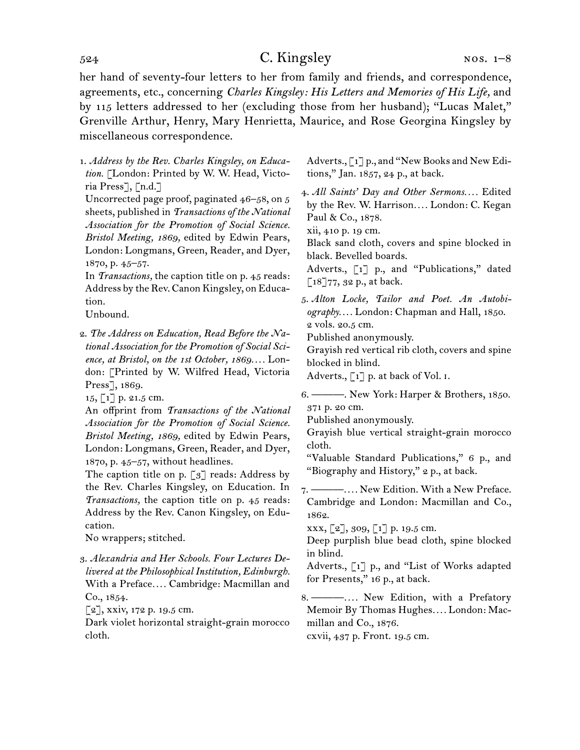her hand of seventy-four letters to her from family and friends, and correspondence, agreements, etc., concerning *Charles Kingsley: His Letters and Memories of His Life,* and by 115 letters addressed to her (excluding those from her husband); "Lucas Malet," Grenville Arthur, Henry, Mary Henrietta, Maurice, and Rose Georgina Kingsley by miscellaneous correspondence.

1. *Address by the Rev. Charles Kingsley, on Education.* [London: Printed by W. W. Head, Victoria Press], [n.d.]

Uncorrected page proof, paginated 46–58, on 5 sheets, published in *Transactions of the National Association for the Promotion of Social Science. Bristol Meeting, 1869,* edited by Edwin Pears, London: Longmans, Green, Reader, and Dyer, 1870, p. 45–57.

In *Transactions,* the caption title on p. 45 reads: Address by the Rev. Canon Kingsley, on Education.

Unbound.

2. *The Address on Education, Read Before the National Association for the Promotion of Social Science, at Bristol, on the 1st October, 1869. . . .* London: [Printed by W. Wilfred Head, Victoria Press], 1869.

15, [1] p. 21.5 cm.

An offprint from *Transactions of the National Association for the Promotion of Social Science. Bristol Meeting, 1869,* edited by Edwin Pears, London: Longmans, Green, Reader, and Dyer, 1870, p. 45–57, without headlines.

The caption title on p.  $\lceil 3 \rceil$  reads: Address by the Rev. Charles Kingsley, on Education. In *Transactions,* the caption title on p. 45 reads: Address by the Rev. Canon Kingsley, on Education.

No wrappers; stitched.

3. *Alexandria and Her Schools. Four Lectures Delivered at the Philosophical Institution, Edinburgh.* With a Preface*. . . .* Cambridge: Macmillan and Co., 1854.

 $\lceil 2 \rceil$ , xxiv, 172 p. 19.5 cm.

Dark violet horizontal straight-grain morocco cloth.

Adverts., [1] p., and "New Books and New Editions," Jan. 1857, 24 p., at back.

4. *All Saints' Day and Other Sermons. . . .* Edited by the Rev. W. Harrison*. . . .* London: C. Kegan Paul & Co., 1878.

xii, 410 p. 19 cm.

Black sand cloth, covers and spine blocked in black. Bevelled boards.

Adverts., [1] p., and "Publications," dated  $\lceil 18 \rceil 77$ , 32 p., at back.

5. *Alton Locke, Tailor and Poet. An Autobiography. . . .* London: Chapman and Hall, 1850. 2 vols. 20.5 cm.

Published anonymously.

Grayish red vertical rib cloth, covers and spine blocked in blind.

Adverts.,  $\lceil 1 \rceil$  p. at back of Vol. I.

6. ———. New York: Harper & Brothers, 1850. 371 p. 20 cm.

Published anonymously.

Grayish blue vertical straight-grain morocco cloth.

"Valuable Standard Publications," 6 p., and "Biography and History," 2 p., at back.

7. ———*. . . .* New Edition. With a New Preface. Cambridge and London: Macmillan and Co., 1862.

xxx, [2], 309, [1] p. 19.5 cm.

Deep purplish blue bead cloth, spine blocked in blind.

Adverts., [1] p., and "List of Works adapted for Presents," 16 p., at back.

8. ———*. . . .* New Edition, with a Prefatory Memoir By Thomas Hughes*. . . .* London: Macmillan and Co., 1876.

cxvii, 437 p. Front. 19.5 cm.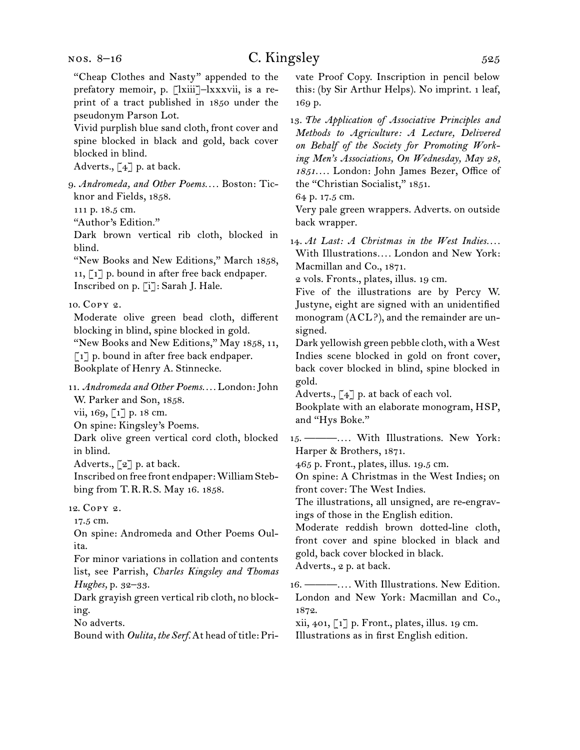"Cheap Clothes and Nasty" appended to the prefatory memoir, p. [lxiii]–lxxxvii, is a reprint of a tract published in 1850 under the pseudonym Parson Lot. Vivid purplish blue sand cloth, front cover and spine blocked in black and gold, back cover blocked in blind. Adverts., [4] p. at back. 9. *Andromeda, and Other Poems. . . .* Boston: Ticknor and Fields, 1858. 111 p. 18.5 cm. "Author's Edition." Dark brown vertical rib cloth, blocked in blind. "New Books and New Editions," March 1858, 11, [1] p. bound in after free back endpaper. Inscribed on p. [i]: Sarah J. Hale. 10. Copy 2. Moderate olive green bead cloth, different blocking in blind, spine blocked in gold. "New Books and New Editions," May 1858, 11, [1] p. bound in after free back endpaper. Bookplate of Henry A. Stinnecke. 11. *Andromeda and Other Poems. . . .* London: John W. Parker and Son, 1858. vii, 169, [1] p. 18 cm. On spine: Kingsley's Poems. Dark olive green vertical cord cloth, blocked in blind. Adverts.,  $\lbrack 2 \rbrack$  p. at back. Inscribed on free front endpaper: William Stebbing from T.R.R.S. May 16. 1858. 12. Copy 2. 17.5 cm. On spine: Andromeda and Other Poems Oulita. For minor variations in collation and contents list, see Parrish, *Charles Kingsley and Thomas Hughes,* p. 32–33. Dark grayish green vertical rib cloth, no blocking. No adverts.

Bound with *Oulita, the Serf.* At head of title: Pri-

vate Proof Copy. Inscription in pencil below this: (by Sir Arthur Helps). No imprint. 1 leaf, 169 p.

13. *The Application of Associative Principles and Methods to Agriculture: A Lecture, Delivered on Behalf of the Society for Promoting Working Men's Associations, On Wednesday, May 28, 1851. . . .* London: John James Bezer, Office of the "Christian Socialist," 1851.

64 p. 17.5 cm.

Very pale green wrappers. Adverts. on outside back wrapper.

14. At Last: A Christmas in the West Indies.... With Illustrations*. . . .* London and New York: Macmillan and Co., 1871.

2 vols. Fronts., plates, illus. 19 cm.

Five of the illustrations are by Percy W. Justyne, eight are signed with an unidentified monogram (ACL?), and the remainder are unsigned.

Dark yellowish green pebble cloth, with a West Indies scene blocked in gold on front cover, back cover blocked in blind, spine blocked in gold.

Adverts.,  $\begin{bmatrix} 4 \end{bmatrix}$  p. at back of each vol.

Bookplate with an elaborate monogram, HSP, and "Hys Boke."

15. ———*. . . .* With Illustrations. New York: Harper & Brothers, 1871.

465 p. Front., plates, illus. 19.5 cm.

On spine: A Christmas in the West Indies; on front cover: The West Indies.

The illustrations, all unsigned, are re-engravings of those in the English edition.

Moderate reddish brown dotted-line cloth, front cover and spine blocked in black and gold, back cover blocked in black. Adverts., 2 p. at back.

16. ———*. . . .* With Illustrations. New Edition. London and New York: Macmillan and Co., 1872.

xii, 401, [1] p. Front., plates, illus. 19 cm. Illustrations as in first English edition.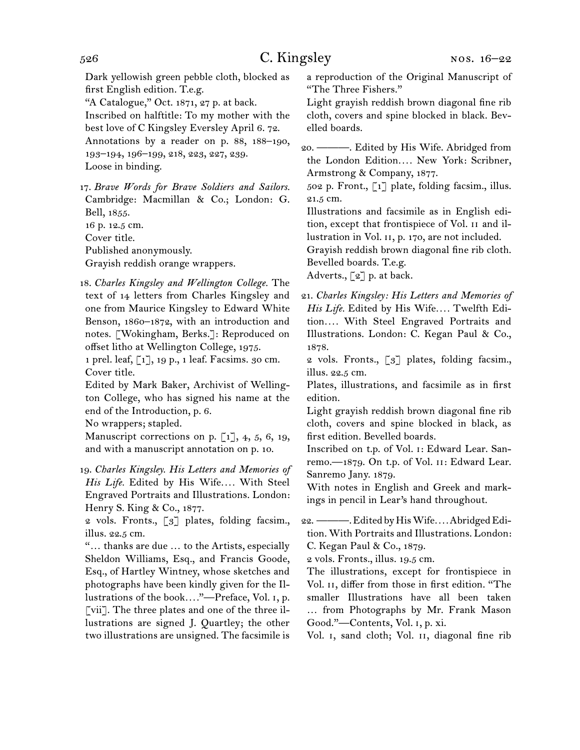Dark yellowish green pebble cloth, blocked as first English edition. T.e.g. "A Catalogue," Oct. 1871, 27 p. at back. Inscribed on halftitle: To my mother with the best love of C Kingsley Eversley April 6. 72. Annotations by a reader on p. 88, 188–190, 193–194, 196–199, 218, 223, 227, 239. Loose in binding.

17. *Brave Words for Brave Soldiers and Sailors.*  Cambridge: Macmillan & Co.; London: G. Bell, 1855. 16 p. 12.5 cm. Cover title. Published anonymously.

Grayish reddish orange wrappers.

18. *Charles Kingsley and Wellington College.* The text of 14 letters from Charles Kingsley and one from Maurice Kingsley to Edward White Benson, 1860–1872, with an introduction and notes. [Wokingham, Berks.]: Reproduced on offset litho at Wellington College, 1975.

1 prel. leaf, [1], 19 p., 1 leaf. Facsims. 30 cm. Cover title.

Edited by Mark Baker, Archivist of Wellington College, who has signed his name at the end of the Introduction, p. 6.

No wrappers; stapled.

Manuscript corrections on p. [1], 4, 5, 6, 19, and with a manuscript annotation on p. 10.

19. *Charles Kingsley. His Letters and Memories of His Life.* Edited by His Wife*. . . .* With Steel Engraved Portraits and Illustrations. London: Henry S. King & Co., 1877.

2 vols. Fronts., [3] plates, folding facsim., illus. 22.5 cm.

"… thanks are due … to the Artists, especially Sheldon Williams, Esq., and Francis Goode, Esq., of Hartley Wintney, whose sketches and photographs have been kindly given for the Illustrations of the book*. . . .*"—Preface, Vol. i, p. [vii]. The three plates and one of the three illustrations are signed J. Quartley; the other two illustrations are unsigned. The facsimile is a reproduction of the Original Manuscript of "The Three Fishers."

Light grayish reddish brown diagonal fine rib cloth, covers and spine blocked in black. Bevelled boards.

20. ———. Edited by His Wife. Abridged from the London Edition*. . . .* New York: Scribner, Armstrong & Company, 1877.

502 p. Front., [1] plate, folding facsim., illus. 21.5 cm.

Illustrations and facsimile as in English edition, except that frontispiece of Vol. ii and illustration in Vol. ii, p. 170, are not included.

Grayish reddish brown diagonal fine rib cloth. Bevelled boards. T.e.g.

Adverts., [2] p. at back.

21. *Charles Kingsley: His Letters and Memories of His Life.* Edited by His Wife*. . . .* Twelfth Edition*. . . .* With Steel Engraved Portraits and Illustrations. London: C. Kegan Paul & Co., 1878.

2 vols. Fronts., [3] plates, folding facsim., illus. 22.5 cm.

Plates, illustrations, and facsimile as in first edition.

Light grayish reddish brown diagonal fine rib cloth, covers and spine blocked in black, as first edition. Bevelled boards.

Inscribed on t.p. of Vol. i: Edward Lear. Sanremo.—1879. On t.p. of Vol. ii: Edward Lear. Sanremo Jany. 1879.

With notes in English and Greek and markings in pencil in Lear's hand throughout.

22. ———. Edited by His Wife*. . . .* Abridged Edition. With Portraits and Illustrations. London: C. Kegan Paul & Co., 1879.

2 vols. Fronts., illus. 19.5 cm.

The illustrations, except for frontispiece in Vol. II, differ from those in first edition. "The smaller Illustrations have all been taken … from Photographs by Mr. Frank Mason Good."—Contents, Vol. i, p. xi.

Vol. I, sand cloth; Vol. II, diagonal fine rib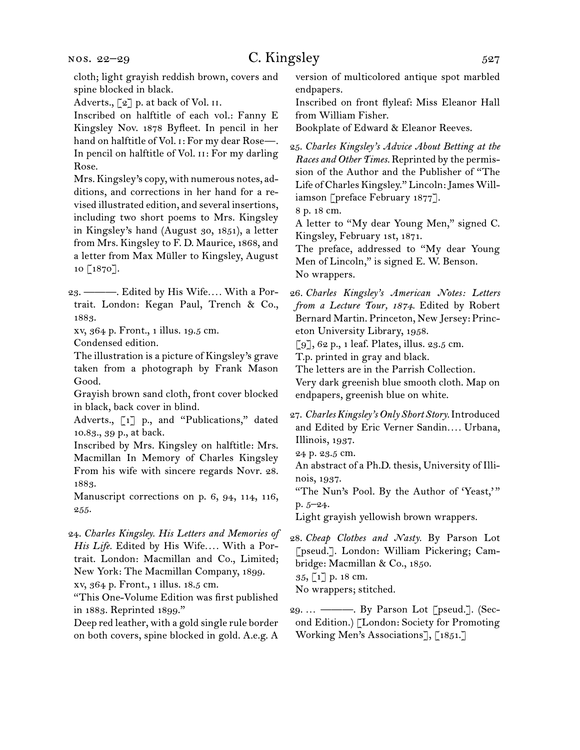nos. 22–29

## $C.$  Kingsley  $527$

cloth; light grayish reddish brown, covers and spine blocked in black.

Adverts., [2] p. at back of Vol. II.

Inscribed on halftitle of each vol.: Fanny E Kingsley Nov. 1878 Byfleet. In pencil in her hand on halftitle of Vol. i: For my dear Rose—. In pencil on halftitle of Vol. II: For my darling Rose.

Mrs. Kingsley's copy, with numerous notes, additions, and corrections in her hand for a revised illustrated edition, and several insertions, including two short poems to Mrs. Kingsley in Kingsley's hand (August 30, 1851), a letter from Mrs. Kingsley to F. D. Maurice, 1868, and a letter from Max Müller to Kingsley, August 10 [1870].

23. ———. Edited by His Wife*. . . .* With a Portrait. London: Kegan Paul, Trench & Co., 1883.

xv, 364 p. Front., 1 illus. 19.5 cm.

Condensed edition.

The illustration is a picture of Kingsley's grave taken from a photograph by Frank Mason Good.

Grayish brown sand cloth, front cover blocked in black, back cover in blind.

Adverts., [1] p., and "Publications," dated 10.83., 39 p., at back.

Inscribed by Mrs. Kingsley on halftitle: Mrs. Macmillan In Memory of Charles Kingsley From his wife with sincere regards Novr. 28. 1883.

Manuscript corrections on p. 6, 94, 114, 116, 255.

24. *Charles Kingsley. His Letters and Memories of His Life.* Edited by His Wife*. . . .* With a Portrait. London: Macmillan and Co., Limited; New York: The Macmillan Company, 1899.

xv, 364 p. Front., 1 illus. 18.5 cm.

"This One-Volume Edition was first published in 1883. Reprinted 1899."

Deep red leather, with a gold single rule border on both covers, spine blocked in gold. A.e.g. A version of multicolored antique spot marbled endpapers.

Inscribed on front flyleaf: Miss Eleanor Hall from William Fisher.

Bookplate of Edward & Eleanor Reeves.

25. *Charles Kingsley's Advice About Betting at the Races and Other Times.* Reprinted by the permission of the Author and the Publisher of "The Life of Charles Kingsley." Lincoln: James Williamson [preface February 1877]. 8 p. 18 cm.

A letter to "My dear Young Men," signed C. Kingsley, February 1st, 1871.

The preface, addressed to "My dear Young Men of Lincoln," is signed E. W. Benson. No wrappers.

26. *Charles Kingsley's American Notes: Letters from a Lecture Tour, 1874.* Edited by Robert Bernard Martin. Princeton, New Jersey: Princeton University Library, 1958.

[9], 62 p., 1 leaf. Plates, illus. 23.5 cm.

T.p. printed in gray and black.

The letters are in the Parrish Collection.

Very dark greenish blue smooth cloth. Map on endpapers, greenish blue on white.

- 27. *Charles Kingsley's Only Short Story.* Introduced and Edited by Eric Verner Sandin*. . . .* Urbana, Illinois, 1937.
- 24 p. 23.5 cm.

An abstract of a Ph.D. thesis, University of Illinois, 1937.

"The Nun's Pool. By the Author of 'Yeast,'" p. 5–24.

Light grayish yellowish brown wrappers.

28. *Cheap Clothes and Nasty.* By Parson Lot [pseud.]. London: William Pickering; Cambridge: Macmillan & Co., 1850. 35, [1] p. 18 cm.

No wrappers; stitched.

29. … ———. By Parson Lot [pseud.]. (Second Edition.) [London: Society for Promoting Working Men's Associations], [1851.]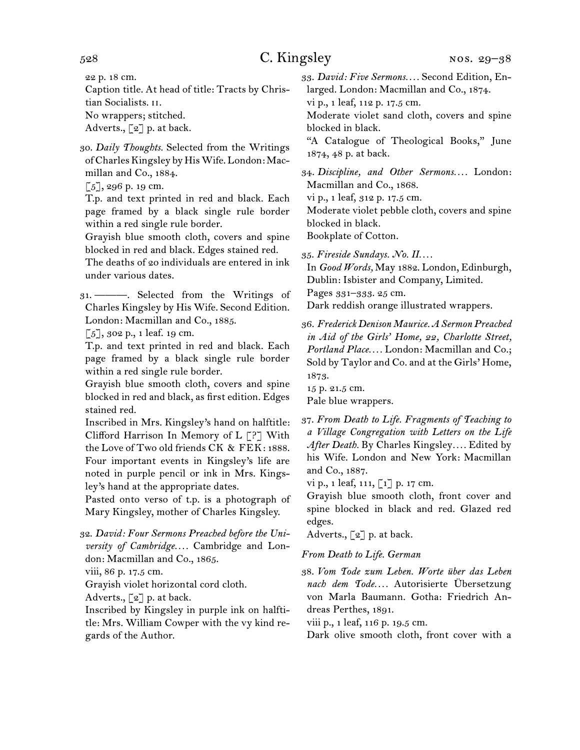22 p. 18 cm.

Caption title. At head of title: Tracts by Christian Socialists. ii.

No wrappers; stitched.

Adverts., [2] p. at back.

30. *Daily Thoughts.* Selected from the Writings of Charles Kingsley by His Wife. London: Macmillan and Co., 1884.

 $[5]$ , 296 p. 19 cm.

T.p. and text printed in red and black. Each page framed by a black single rule border within a red single rule border.

Grayish blue smooth cloth, covers and spine blocked in red and black. Edges stained red.

The deaths of 20 individuals are entered in ink under various dates.

31. ———. Selected from the Writings of Charles Kingsley by His Wife. Second Edition. London: Macmillan and Co., 1885.

 $[5]$ , 302 p., 1 leaf. 19 cm.

T.p. and text printed in red and black. Each page framed by a black single rule border within a red single rule border.

Grayish blue smooth cloth, covers and spine blocked in red and black, as first edition. Edges stained red.

Inscribed in Mrs. Kingsley's hand on halftitle: Clifford Harrison In Memory of L [?] With the Love of Two old friends CK & FEK: 1888. Four important events in Kingsley's life are noted in purple pencil or ink in Mrs. Kingsley's hand at the appropriate dates.

Pasted onto verso of t.p. is a photograph of Mary Kingsley, mother of Charles Kingsley.

32. *David: Four Sermons Preached before the University of Cambridge. . . .* Cambridge and London: Macmillan and Co., 1865.

viii, 86 p. 17.5 cm.

Grayish violet horizontal cord cloth.

Adverts.,  $\lbrack 2 \rbrack$  p. at back.

Inscribed by Kingsley in purple ink on halftitle: Mrs. William Cowper with the vy kind regards of the Author.

33. *David: Five Sermons. . . .* Second Edition, Enlarged. London: Macmillan and Co., 1874.

vi p., 1 leaf, 112 p. 17.5 cm.

Moderate violet sand cloth, covers and spine blocked in black.

"A Catalogue of Theological Books," June 1874, 48 p. at back.

34. *Discipline, and Other Sermons. . . .* London: Macmillan and Co., 1868.

vi p., 1 leaf, 312 p. 17.5 cm.

Moderate violet pebble cloth, covers and spine blocked in black.

Bookplate of Cotton.

35. *Fireside Sundays. No. II. . . .*

In *Good Words,* May 1882. London, Edinburgh, Dublin: Isbister and Company, Limited. Pages 331–333. 25 cm.

Dark reddish orange illustrated wrappers.

36. *Frederick Denison Maurice. A Sermon Preached in Aid of the Girls' Home, 22, Charlotte Street, Portland Place. . . .* London: Macmillan and Co.; Sold by Taylor and Co. and at the Girls' Home, 1873.

15 p. 21.5 cm.

Pale blue wrappers.

37. *From Death to Life. Fragments of Teaching to a Village Congregation with Letters on the Life After Death.* By Charles Kingsley*. . . .* Edited by his Wife. London and New York: Macmillan and Co., 1887.

vi p., 1 leaf, 111, [1] p. 17 cm.

Grayish blue smooth cloth, front cover and spine blocked in black and red. Glazed red edges.

Adverts., [2] p. at back.

*From Death to Life. German*

38. *Vom Tode zum Leben. Worte über das Leben nach dem Tode. . . .* Autorisierte Übersetzung von Marla Baumann. Gotha: Friedrich Andreas Perthes, 1891.

viii p., 1 leaf, 116 p. 19.5 cm.

Dark olive smooth cloth, front cover with a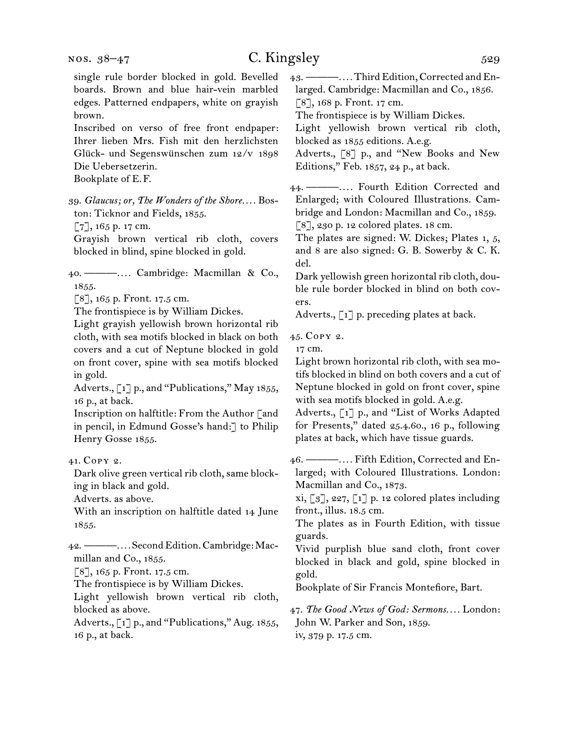single rule border blocked in gold. Bevelled boards. Brown and blue hair-vein marbled edges. Patterned endpapers, white on grayish brown. Inscribed on verso of free front endpaper: Ihrer lieben Mrs. Fish mit den herzlichsten Glück- und Segenswünschen zum 12/v 1898 Die Uebersetzerin. Bookplate of E.F. 39. *Glaucus; or, The Wonders of the Shore. . . .* Boston: Ticknor and Fields, 1855. [7], 165 p. 17 cm. Grayish brown vertical rib cloth, covers blocked in blind, spine blocked in gold. 40. ———*. . . .* Cambridge: Macmillan & Co., 1855. [8], 165 p. Front. 17.5 cm. The frontispiece is by William Dickes. Light grayish yellowish brown horizontal rib cloth, with sea motifs blocked in black on both covers and a cut of Neptune blocked in gold on front cover, spine with sea motifs blocked in gold. Adverts., [1] p., and "Publications," May 1855, 16 p., at back. Inscription on halftitle: From the Author [and in pencil, in Edmund Gosse's hand:] to Philip Henry Gosse 1855. 41. Copy 2. Dark olive green vertical rib cloth, same blocking in black and gold. Adverts. as above. With an inscription on halftitle dated 14 June 1855. 42. ———*. . . .* Second Edition. Cambridge: Macmillan and Co., 1855. [8], 165 p. Front. 17.5 cm. The frontispiece is by William Dickes. Light yellowish brown vertical rib cloth, blocked as above. Adverts., [1] p., and "Publications," Aug. 1855, 16 p., at back. 43. ———*. . . .* Third Edition, Corrected and Enlarged. Cambridge: Macmillan and Co., 1856. [8], 168 p. Front. 17 cm. The frontispiece is by William Dickes. Light yellowish brown vertical rib cloth, blocked as 1855 editions. A.e.g. Adverts., [8] p., and "New Books and New Editions," Feb. 1857, 24 p., at back. 44. ———*. . . .* Fourth Edition Corrected and Enlarged; with Coloured Illustrations. Cambridge and London: Macmillan and Co., 1859. [8], 230 p. 12 colored plates. 18 cm. The plates are signed: W. Dickes; Plates 1, 5, and 8 are also signed: G. B. Sowerby & C. K. del. Dark yellowish green horizontal rib cloth, double rule border blocked in blind on both covers. Adverts., [1] p. preceding plates at back. 45. Copy 2. 17 cm. Light brown horizontal rib cloth, with sea motifs blocked in blind on both covers and a cut of Neptune blocked in gold on front cover, spine with sea motifs blocked in gold. A.e.g. Adverts., [1] p., and "List of Works Adapted for Presents," dated 25.4.60., 16 p., following plates at back, which have tissue guards. 46. ———*. . . .* Fifth Edition, Corrected and Enlarged; with Coloured Illustrations. London: Macmillan and Co., 1873. xi,  $\lbrack 3 \rbrack$ , 227,  $\lbrack 1 \rbrack$  p. 12 colored plates including front., illus. 18.5 cm. The plates as in Fourth Edition, with tissue guards. Vivid purplish blue sand cloth, front cover blocked in black and gold, spine blocked in gold. Bookplate of Sir Francis Montefiore, Bart. 47. *The Good News of God: Sermons. . . .* London: John W. Parker and Son, 1859.

iv, 379 p. 17.5 cm.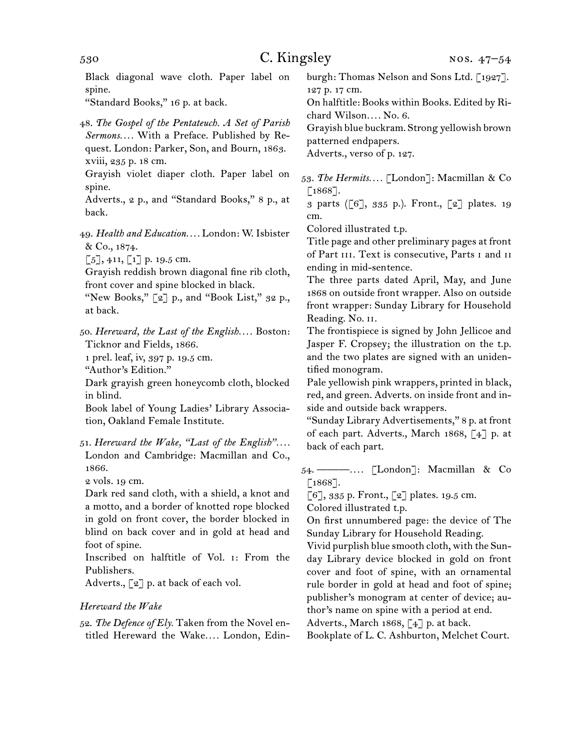| 530                                                                                                                                                                                                                                                                                                                                                                               | C. Kingsley<br>NOS. 47-54                                                                                                                                                                                                                                                                                                                                                                                                                  |  |
|-----------------------------------------------------------------------------------------------------------------------------------------------------------------------------------------------------------------------------------------------------------------------------------------------------------------------------------------------------------------------------------|--------------------------------------------------------------------------------------------------------------------------------------------------------------------------------------------------------------------------------------------------------------------------------------------------------------------------------------------------------------------------------------------------------------------------------------------|--|
| Black diagonal wave cloth. Paper label on<br>spine.<br>"Standard Books," 16 p. at back.                                                                                                                                                                                                                                                                                           | burgh: Thomas Nelson and Sons Ltd. [1927].<br>127 p. 17 cm.<br>On halftitle: Books within Books. Edited by Ri-                                                                                                                                                                                                                                                                                                                             |  |
| 48. The Gospel of the Pentateuch. A Set of Parish<br>Sermons With a Preface. Published by Re-<br>quest. London: Parker, Son, and Bourn, 1863.<br>xviii, 235 p. 18 cm.                                                                                                                                                                                                             | chard Wilson No. 6.<br>Grayish blue buckram. Strong yellowish brown<br>patterned endpapers.<br>Adverts., verso of p. 127.                                                                                                                                                                                                                                                                                                                  |  |
| Grayish violet diaper cloth. Paper label on<br>spine.<br>Adverts., 2 p., and "Standard Books," 8 p., at<br>back.                                                                                                                                                                                                                                                                  | 53. The Hermits [London]: Macmillan & Co<br>$[1868]$ .<br>3 parts ([6], 335 p.). Front., [2] plates. 19<br>cm.                                                                                                                                                                                                                                                                                                                             |  |
| 49. Health and Education London: W. Isbister<br>& Co., 1874.<br>$\lbrack 5 \rbrack, 411, \lbrack 1 \rbrack$ p. 19.5 cm.<br>Grayish reddish brown diagonal fine rib cloth,<br>front cover and spine blocked in black.<br>"New Books," [2] p., and "Book List," 32 p.,<br>at back.                                                                                                  | Colored illustrated t.p.<br>Title page and other preliminary pages at front<br>of Part III. Text is consecutive, Parts I and II<br>ending in mid-sentence.<br>The three parts dated April, May, and June<br>1868 on outside front wrapper. Also on outside<br>front wrapper: Sunday Library for Household<br>Reading. No. II.                                                                                                              |  |
| 50. Hereward, the Last of the English Boston:<br>Ticknor and Fields, 1866.<br>1 prel. leaf, iv, 397 p. 19.5 cm.<br>"Author's Edition."<br>Dark grayish green honeycomb cloth, blocked<br>in blind.<br>Book label of Young Ladies' Library Associa-<br>tion, Oakland Female Institute.<br>51. Hereward the Wake, "Last of the English"<br>London and Cambridge: Macmillan and Co., | The frontispiece is signed by John Jellicoe and<br>Jasper F. Cropsey; the illustration on the t.p.<br>and the two plates are signed with an uniden-<br>tified monogram.<br>Pale yellowish pink wrappers, printed in black,<br>red, and green. Adverts. on inside front and in-<br>side and outside back wrappers.<br>"Sunday Library Advertisements," 8 p. at front<br>of each part. Adverts., March 1868, [4] p. at<br>back of each part. |  |
| 1866.<br>2 vols. 19 cm.<br>Dark red sand cloth, with a shield, a knot and<br>a motto, and a border of knotted rope blocked<br>in gold on front cover, the border blocked in<br>blind on back cover and in gold at head and                                                                                                                                                        | 54. $-$<br>$\lceil 1868 \rceil$ .<br>$\lbrack 6 \rbrack, 335$ p. Front., $\lbrack 2 \rbrack$ plates. 19.5 cm.<br>Colored illustrated t.p.<br>On first unnumbered page: the device of The<br>Sunday Library for Household Reading.                                                                                                                                                                                                          |  |
| foot of spine.<br>Inscribed on halftitle of Vol. 1: From the<br>Publishers.<br>Adverts., $\lbrack 2 \rbrack$ p. at back of each vol.<br>Hereward the Wake                                                                                                                                                                                                                         | Vivid purplish blue smooth cloth, with the Sun-<br>day Library device blocked in gold on front<br>cover and foot of spine, with an ornamental<br>rule border in gold at head and foot of spine;<br>publisher's monogram at center of device; au-<br>thor's name on spine with a period at end.                                                                                                                                             |  |

52. *The Defence of Ely.* Taken from the Novel entitled Hereward the Wake*. . . .* London, Edin-

Adverts., March 1868, [4] p. at back. Bookplate of L. C. Ashburton, Melchet Court.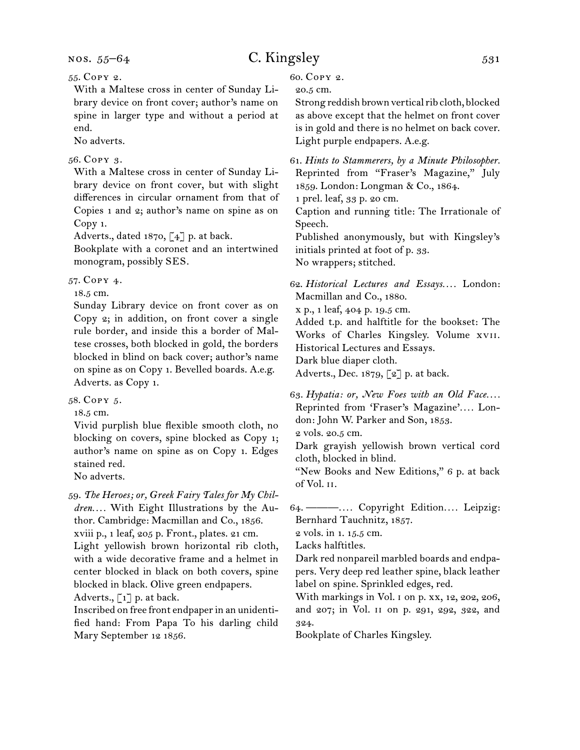55. Copy 2.

With a Maltese cross in center of Sunday Library device on front cover; author's name on spine in larger type and without a period at end.

No adverts.

#### 56. Copy 3.

With a Maltese cross in center of Sunday Library device on front cover, but with slight differences in circular ornament from that of Copies 1 and 2; author's name on spine as on Copy 1.

Adverts., dated 1870,  $\lceil 4 \rceil$  p. at back.

Bookplate with a coronet and an intertwined monogram, possibly SES.

57. Copy 4.

18.5 cm.

Sunday Library device on front cover as on Copy 2; in addition, on front cover a single rule border, and inside this a border of Maltese crosses, both blocked in gold, the borders blocked in blind on back cover; author's name on spine as on Copy 1. Bevelled boards. A.e.g. Adverts. as Copy 1.

58. Copy 5.

18.5 cm.

Vivid purplish blue flexible smooth cloth, no blocking on covers, spine blocked as Copy 1; author's name on spine as on Copy 1. Edges stained red.

No adverts.

59. *The Heroes; or, Greek Fairy Tales for My Children. . . .* With Eight Illustrations by the Author. Cambridge: Macmillan and Co., 1856. xviii p., 1 leaf, 205 p. Front., plates. 21 cm. Light yellowish brown horizontal rib cloth, with a wide decorative frame and a helmet in center blocked in black on both covers, spine blocked in black. Olive green endpapers. Adverts.,  $\begin{bmatrix} 1 \end{bmatrix}$  p. at back.

Inscribed on free front endpaper in an unidentified hand: From Papa To his darling child Mary September 12 1856.

60. Copy 2.

20.5 cm.

Strong reddish brown vertical rib cloth, blocked as above except that the helmet on front cover is in gold and there is no helmet on back cover. Light purple endpapers. A.e.g.

61. *Hints to Stammerers, by a Minute Philosopher.* Reprinted from "Fraser's Magazine," July 1859. London: Longman & Co., 1864.

1 prel. leaf, 33 p. 20 cm.

Caption and running title: The Irrationale of Speech.

Published anonymously, but with Kingsley's initials printed at foot of p. 33.

No wrappers; stitched.

62. *Historical Lectures and Essays. . . .* London: Macmillan and Co., 1880.

x p., 1 leaf, 404 p. 19.5 cm.

Added t.p. and halftitle for the bookset: The Works of Charles Kingsley. Volume xvii.

Historical Lectures and Essays.

Dark blue diaper cloth.

Adverts., Dec. 1879, [2] p. at back.

63. *Hypatia: or, New Foes with an Old Face. . . .* Reprinted from 'Fraser's Magazine'*. . . .* London: John W. Parker and Son, 1853.

2 vols. 20.5 cm.

Dark grayish yellowish brown vertical cord cloth, blocked in blind.

"New Books and New Editions," 6 p. at back of Vol. ii.

64. ———*. . . .* Copyright Edition*. . . .* Leipzig: Bernhard Tauchnitz, 1857.

2 vols. in 1. 15.5 cm.

Lacks halftitles.

Dark red nonpareil marbled boards and endpapers. Very deep red leather spine, black leather label on spine. Sprinkled edges, red.

With markings in Vol. 1 on p. xx, 12, 202, 206, and 207; in Vol. ii on p. 291, 292, 322, and 324.

Bookplate of Charles Kingsley.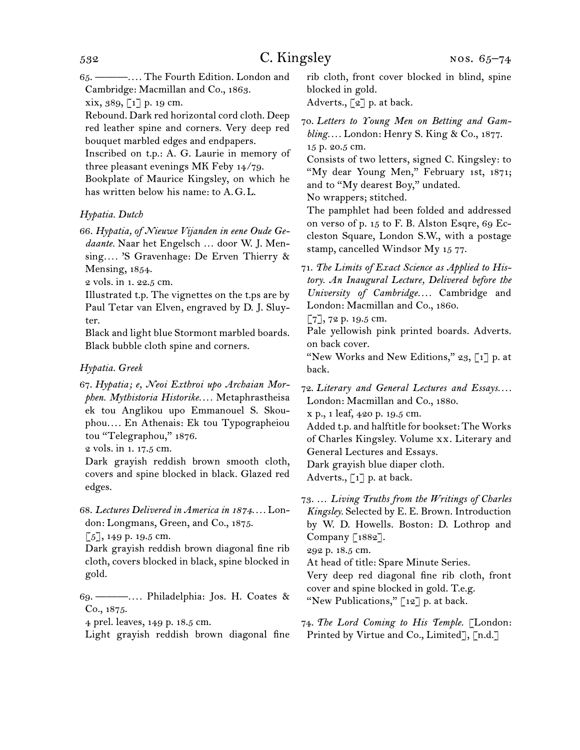65. ———*. . . .* The Fourth Edition. London and Cambridge: Macmillan and Co., 1863.

xix, 389, [1] p. 19 cm.

Rebound. Dark red horizontal cord cloth. Deep red leather spine and corners. Very deep red bouquet marbled edges and endpapers.

Inscribed on t.p.: A. G. Laurie in memory of three pleasant evenings MK Feby 14/79.

Bookplate of Maurice Kingsley, on which he has written below his name: to A.G.L.

### *Hypatia. Dutch*

66. *Hypatia, of Nieuwe Vijanden in eene Oude Gedaante.* Naar het Engelsch … door W. J. Mensing*. . . .* 'S Gravenhage: De Erven Thierry & Mensing, 1854.

2 vols. in 1. 22.5 cm.

Illustrated t.p. The vignettes on the t.ps are by Paul Tetar van Elven, engraved by D. J. Sluyter.

Black and light blue Stormont marbled boards. Black bubble cloth spine and corners.

#### *Hypatia. Greek*

67. *Hypatia; e, Neoi Exthroi upo Archaian Morphen. Mythistoria Historike. . . .* Metaphrastheisa ek tou Anglikou upo Emmanouel S. Skouphou*. . . .* En Athenais: Ek tou Typographeiou tou "Telegraphou," 1876.

2 vols. in 1. 17.5 cm.

Dark grayish reddish brown smooth cloth, covers and spine blocked in black. Glazed red edges.

68. *Lectures Delivered in America in 1874. . . .* London: Longmans, Green, and Co., 1875.

[5], 149 p. 19.5 cm.

Dark grayish reddish brown diagonal fine rib cloth, covers blocked in black, spine blocked in gold.

69. ———*. . . .* Philadelphia: Jos. H. Coates & Co., 1875.

4 prel. leaves, 149 p. 18.5 cm.

Light grayish reddish brown diagonal fine

rib cloth, front cover blocked in blind, spine blocked in gold.

Adverts.,  $\lceil 2 \rceil$  p. at back.

70. *Letters to Young Men on Betting and Gambling. . . .* London: Henry S. King & Co., 1877. 15 p. 20.5 cm.

Consists of two letters, signed C. Kingsley: to "My dear Young Men," February 1st, 1871; and to "My dearest Boy," undated.

No wrappers; stitched.

The pamphlet had been folded and addressed on verso of p. 15 to F. B. Alston Esqre, 69 Eccleston Square, London S.W., with a postage stamp, cancelled Windsor My 15 77.

71. *The Limits of Exact Science as Applied to History. An Inaugural Lecture, Delivered before the University of Cambridge. . . .* Cambridge and London: Macmillan and Co., 1860.

 $[7]$ , 72 p. 19.5 cm.

Pale yellowish pink printed boards. Adverts. on back cover.

"New Works and New Editions,"  $23$ , [1] p. at back.

72. *Literary and General Lectures and Essays. . . .* London: Macmillan and Co., 1880. x p., 1 leaf, 420 p. 19.5 cm.

Added t.p. and halftitle for bookset: The Works of Charles Kingsley. Volume xx. Literary and General Lectures and Essays. Dark grayish blue diaper cloth.

Adverts.,  $\lceil 1 \rceil$  p. at back.

73. … *Living Truths from the Writings of Charles Kingsley.* Selected by E. E. Brown. Introduction by W. D. Howells. Boston: D. Lothrop and Company [1882].

292 p. 18.5 cm.

At head of title: Spare Minute Series.

Very deep red diagonal fine rib cloth, front cover and spine blocked in gold. T.e.g. "New Publications,"  $\lceil 12 \rceil$  p. at back.

74. *The Lord Coming to His Temple.* [London: Printed by Virtue and Co., Limited], [n.d.]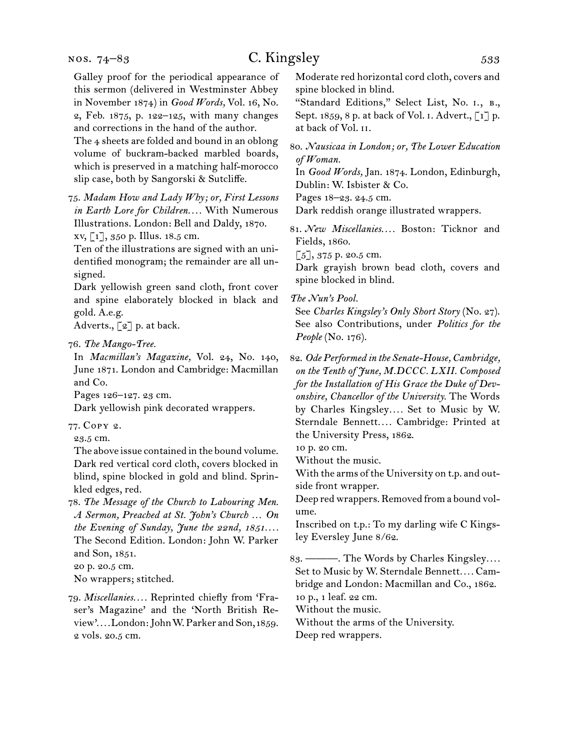Galley proof for the periodical appearance of this sermon (delivered in Westminster Abbey in November 1874) in *Good Words,* Vol. 16, No. 2, Feb. 1875, p. 122–125, with many changes and corrections in the hand of the author.

The 4 sheets are folded and bound in an oblong volume of buckram-backed marbled boards, which is preserved in a matching half-morocco slip case, both by Sangorski & Sutcliffe.

75. *Madam How and Lady Why; or, First Lessons in Earth Lore for Children. . . .* With Numerous Illustrations. London: Bell and Daldy, 1870. xv, [1], 350 p. Illus. 18.5 cm.

Ten of the illustrations are signed with an unidentified monogram; the remainder are all unsigned.

Dark yellowish green sand cloth, front cover and spine elaborately blocked in black and gold. A.e.g.

Adverts., [2] p. at back.

In *Macmillan's Magazine,* Vol. 24, No. 140, June 1871. London and Cambridge: Macmillan and Co.

Pages 126–127. 23 cm.

Dark yellowish pink decorated wrappers.

77. Copy 2.

23.5 cm.

The above issue contained in the bound volume. Dark red vertical cord cloth, covers blocked in blind, spine blocked in gold and blind. Sprinkled edges, red.

78. *The Message of the Church to Labouring Men. A Sermon, Preached at St. John's Church … On the Evening of Sunday, June the 22nd, 1851. . . .* The Second Edition. London: John W. Parker and Son, 1851.

20 p. 20.5 cm.

No wrappers; stitched.

79. *Miscellanies. . . .* Reprinted chiefly from 'Fraser's Magazine' and the 'North British Review'*. . . .* London: John W. Parker and Son, 1859. 2 vols. 20.5 cm.

Moderate red horizontal cord cloth, covers and spine blocked in blind.

"Standard Editions," Select List, No. i., b., Sept. 1859, 8 p. at back of Vol. i. Advert., [1] p. at back of Vol. ii.

80. *Nausicaa in London; or, The Lower Education of Woman.*

In *Good Words,* Jan. 1874. London, Edinburgh, Dublin: W. Isbister & Co.

Pages 18–23. 24.5 cm.

Dark reddish orange illustrated wrappers.

81. *New Miscellanies. . . .* Boston: Ticknor and Fields, 1860.

[5], 375 p. 20.5 cm.

Dark grayish brown bead cloth, covers and spine blocked in blind.

*The Nun's Pool.*

See *Charles Kingsley's Only Short Story* (No. 27). See also Contributions, under *Politics for the People* (No. 176).

82. *Ode Performed in the Senate-House, Cambridge, on the Tenth of June, M.DCCC. LXII. Composed for the Installation of His Grace the Duke of Devonshire, Chancellor of the University.* The Words by Charles Kingsley*. . . .* Set to Music by W. Sterndale Bennett*. . . .* Cambridge: Printed at the University Press, 1862.

10 p. 20 cm.

Without the music.

With the arms of the University on t.p. and outside front wrapper.

Deep red wrappers. Removed from a bound volume.

Inscribed on t.p.: To my darling wife C Kingsley Eversley June 8/62.

83. ———. The Words by Charles Kingsley*. . . .*  Set to Music by W. Sterndale Bennett*. . . .* Cambridge and London: Macmillan and Co., 1862. 10 p., 1 leaf. 22 cm.

Without the music.

Without the arms of the University.

Deep red wrappers.

<sup>76.</sup> *The Mango-Tree.*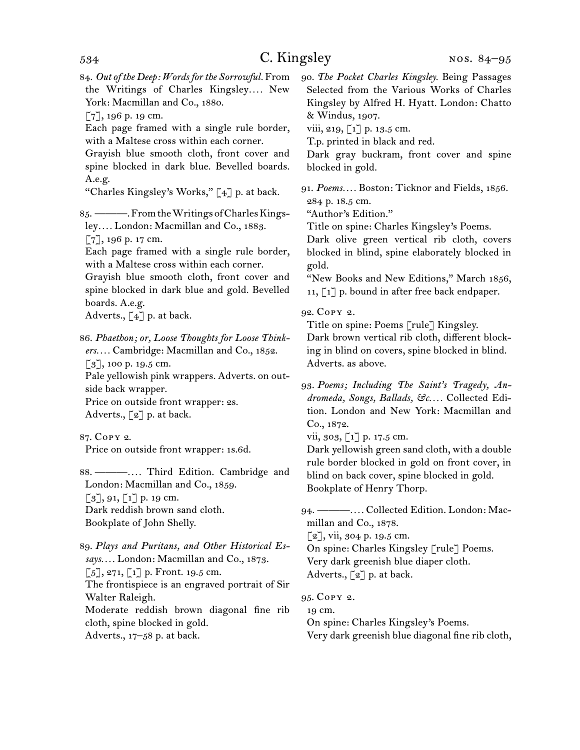84. *Out of the Deep: Words for the Sorrowful.* From the Writings of Charles Kingsley*. . . .* New York: Macmillan and Co., 1880.

[7], 196 p. 19 cm.

Each page framed with a single rule border, with a Maltese cross within each corner.

Grayish blue smooth cloth, front cover and spine blocked in dark blue. Bevelled boards. A.e.g.

"Charles Kingsley's Works,"  $\lceil 4 \rceil$  p. at back.

85. ———. From the Writings of Charles Kingsley*. . . .* London: Macmillan and Co., 1883.

[7], 196 p. 17 cm.

Each page framed with a single rule border, with a Maltese cross within each corner.

Grayish blue smooth cloth, front cover and spine blocked in dark blue and gold. Bevelled boards. A.e.g.

Adverts.,  $\begin{bmatrix} 4 \end{bmatrix}$  p. at back.

86. *Phaethon; or, Loose Thoughts for Loose Thinkers. . . .* Cambridge: Macmillan and Co., 1852.  $\lceil 3 \rceil$ , 100 p. 19.5 cm. Pale yellowish pink wrappers. Adverts. on outside back wrapper. Price on outside front wrapper: 2s. Adverts.,  $\lbrack 2 \rbrack$  p. at back.

87. Copy 2. Price on outside front wrapper: 1s.6d.

88. ———*. . . .* Third Edition. Cambridge and London: Macmillan and Co., 1859.  $[3]$ , 91,  $[1]$  p. 19 cm. Dark reddish brown sand cloth. Bookplate of John Shelly.

89. *Plays and Puritans, and Other Historical Essays. . . .* London: Macmillan and Co., 1873.  $[5], 271, [1]$  p. Front. 19.5 cm. The frontispiece is an engraved portrait of Sir Walter Raleigh.

Moderate reddish brown diagonal fine rib cloth, spine blocked in gold.

Adverts., 17–58 p. at back.

90. *The Pocket Charles Kingsley.* Being Passages Selected from the Various Works of Charles Kingsley by Alfred H. Hyatt. London: Chatto & Windus, 1907.

viii, 219,  $\lceil 1 \rceil$  p. 13.5 cm.

T.p. printed in black and red.

Dark gray buckram, front cover and spine blocked in gold.

91. *Poems. . . .* Boston: Ticknor and Fields, 1856. 284 p. 18.5 cm.

"Author's Edition."

Title on spine: Charles Kingsley's Poems.

Dark olive green vertical rib cloth, covers blocked in blind, spine elaborately blocked in gold.

"New Books and New Editions," March 1856, 11, [1] p. bound in after free back endpaper.

92. Copy 2.

Title on spine: Poems [rule] Kingsley. Dark brown vertical rib cloth, different blocking in blind on covers, spine blocked in blind. Adverts. as above.

vii, 303, [1] p. 17.5 cm.

Dark yellowish green sand cloth, with a double rule border blocked in gold on front cover, in blind on back cover, spine blocked in gold. Bookplate of Henry Thorp.

94. ———*. . . .* Collected Edition. London: Macmillan and Co., 1878.

[2], vii, 304 p. 19.5 cm.

On spine: Charles Kingsley [rule] Poems. Very dark greenish blue diaper cloth. Adverts., [2] p. at back.

95. Copy 2. 19 cm. On spine: Charles Kingsley's Poems. Very dark greenish blue diagonal fine rib cloth,

<sup>93.</sup> *Poems; Including The Saint's Tragedy, Andromeda, Songs, Ballads, &c. . . .* Collected Edition. London and New York: Macmillan and Co., 1872.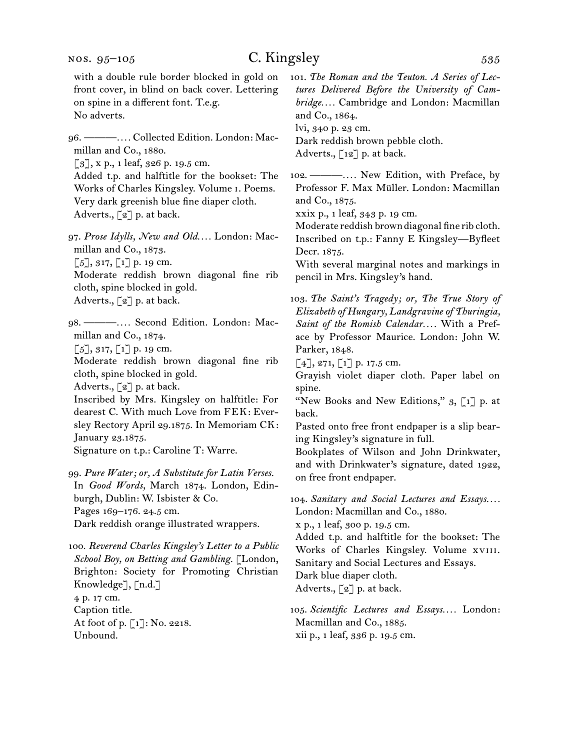with a double rule border blocked in gold on front cover, in blind on back cover. Lettering on spine in a different font. T.e.g. No adverts.

96. ———*. . . .* Collected Edition. London: Macmillan and Co., 1880.

[3], x p., 1 leaf, 326 p. 19.5 cm.

Added t.p. and halftitle for the bookset: The Works of Charles Kingsley. Volume i. Poems. Very dark greenish blue fine diaper cloth. Adverts., [2] p. at back.

97. *Prose Idylls, New and Old. . . .* London: Macmillan and Co., 1873.

 $\lbrack 5 \rbrack, 317, \lbrack 1 \rbrack$  p. 19 cm.

Moderate reddish brown diagonal fine rib cloth, spine blocked in gold.

Adverts.,  $\lbrack 2 \rbrack$  p. at back.

98. ———*. . . .* Second Edition. London: Macmillan and Co., 1874.  $[5]$ , 317,  $[1]$  p. 19 cm. Moderate reddish brown diagonal fine rib cloth, spine blocked in gold. Adverts., [2] p. at back. Inscribed by Mrs. Kingsley on halftitle: For dearest C. With much Love from FEK: Eversley Rectory April 29.1875. In Memoriam CK:

January 23.1875.

Signature on t.p.: Caroline T: Warre.

99. *Pure Water; or, A Substitute for Latin Verses.* In *Good Words,* March 1874. London, Edinburgh, Dublin: W. Isbister & Co. Pages 169–176. 24.5 cm. Dark reddish orange illustrated wrappers.

100. *Reverend Charles Kingsley's Letter to a Public School Boy, on Betting and Gambling.* [London, Brighton: Society for Promoting Christian Knowledge], [n.d.] 4 p. 17 cm. Caption title. At foot of p. [1]: No. 2218. Unbound.

101. *The Roman and the Teuton. A Series of Lectures Delivered Before the University of Cambridge. . . .* Cambridge and London: Macmillan and Co., 1864.

lvi, 340 p. 23 cm.

Dark reddish brown pebble cloth.

Adverts.,  $\lceil 12 \rceil$  p. at back.

102. ———*. . . .* New Edition, with Preface, by Professor F. Max Müller. London: Macmillan and Co., 1875.

xxix p., 1 leaf, 343 p. 19 cm.

Moderate reddish brown diagonal fine rib cloth. Inscribed on t.p.: Fanny E Kingsley—Byfleet Decr. 1875.

With several marginal notes and markings in pencil in Mrs. Kingsley's hand.

103. *The Saint's Tragedy; or, The True Story of Elizabeth of Hungary, Landgravine of Thuringia, Saint of the Romish Calendar. . . .* With a Preface by Professor Maurice. London: John W. Parker, 1848.

 $[4]$ , 271,  $[1]$  p. 17.5 cm.

Grayish violet diaper cloth. Paper label on spine.

"New Books and New Editions,"  $3, 1$ ] p. at back.

Pasted onto free front endpaper is a slip bearing Kingsley's signature in full.

Bookplates of Wilson and John Drinkwater, and with Drinkwater's signature, dated 1922, on free front endpaper.

104. Sanitary and Social Lectures and Essays.... London: Macmillan and Co., 1880. x p., 1 leaf, 300 p. 19.5 cm.

Added t.p. and halftitle for the bookset: The Works of Charles Kingsley. Volume xviii. Sanitary and Social Lectures and Essays. Dark blue diaper cloth.

Adverts., [2] p. at back.

105. *Scientific Lectures and Essays. . . .* London: Macmillan and Co., 1885. xii p., 1 leaf, 336 p. 19.5 cm.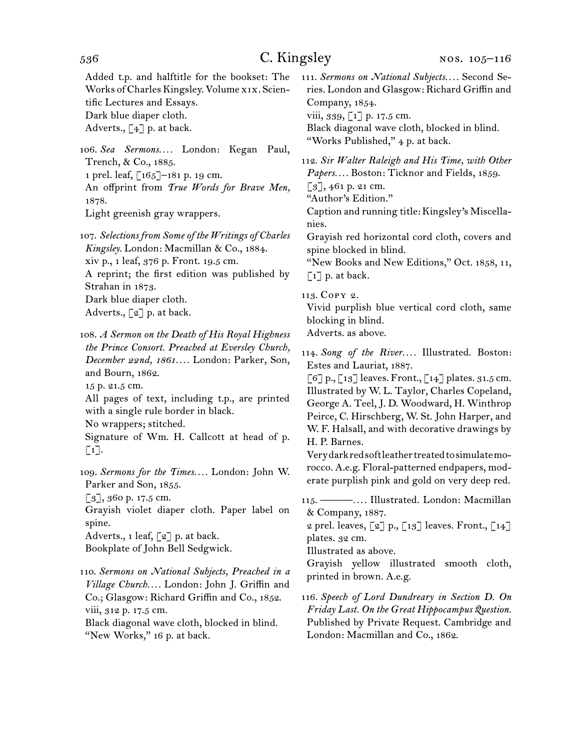Added t.p. and halftitle for the bookset: The Works of Charles Kingsley. Volume xix. Scientific Lectures and Essays.

Dark blue diaper cloth.

Adverts.,  $\begin{bmatrix} 4 \end{bmatrix}$  p. at back.

106. *Sea Sermons. . . .* London: Kegan Paul, Trench, & Co., 1885. 1 prel. leaf, [165]–181 p. 19 cm. An offprint from *True Words for Brave Men,*  1878. Light greenish gray wrappers.

107. *Selections from Some of the Writings of Charles Kingsley.* London: Macmillan & Co., 1884. xiv p., 1 leaf, 376 p. Front. 19.5 cm. A reprint; the first edition was published by Strahan in 1873. Dark blue diaper cloth. Adverts., [2] p. at back.

108. *A Sermon on the Death of His Royal Highness the Prince Consort. Preached at Eversley Church, December 22nd, 1861. . . .* London: Parker, Son, and Bourn, 1862.

15 p. 21.5 cm.

All pages of text, including t.p., are printed with a single rule border in black.

No wrappers; stitched.

Signature of Wm. H. Callcott at head of p.  $\lceil 1 \rceil$ .

109. *Sermons for the Times. . . .* London: John W. Parker and Son, 1855.

 $\lceil 3 \rceil$ , 360 p. 17.5 cm.

Grayish violet diaper cloth. Paper label on spine.

Adverts., 1 leaf, [2] p. at back.

Bookplate of John Bell Sedgwick.

110. *Sermons on National Subjects, Preached in a Village Church. . . .* London: John J. Griffin and Co.; Glasgow: Richard Griffin and Co., 1852. viii, 312 p. 17.5 cm. Black diagonal wave cloth, blocked in blind. "New Works," 16 p. at back.

111. *Sermons on National Subjects. . . .* Second Series. London and Glasgow: Richard Griffin and Company, 1854. viii, 339, [1] p. 17.5 cm. Black diagonal wave cloth, blocked in blind. "Works Published," 4 p. at back.

112. *Sir Walter Raleigh and His Time, with Other Papers. . . .* Boston: Ticknor and Fields, 1859.  $\lceil 3 \rceil$ , 461 p. 21 cm. "Author's Edition."

Caption and running title: Kingsley's Miscellanies.

Grayish red horizontal cord cloth, covers and spine blocked in blind.

"New Books and New Editions," Oct. 1858, 11, [1] p. at back.

113. Copy 2.

Vivid purplish blue vertical cord cloth, same blocking in blind.

Adverts. as above.

114. *Song of the River....* Illustrated. Boston: Estes and Lauriat, 1887.

 $\lceil 6 \rceil$  p.,  $\lceil 13 \rceil$  leaves. Front.,  $\lceil 14 \rceil$  plates. 31.5 cm. Illustrated by W. L. Taylor, Charles Copeland, George A. Teel, J. D. Woodward, H. Winthrop Peirce, C. Hirschberg, W. St. John Harper, and W. F. Halsall, and with decorative drawings by H. P. Barnes.

Very dark red soft leather treated to simulate morocco. A.e.g. Floral-patterned endpapers, moderate purplish pink and gold on very deep red.

115. ———*. . . .* Illustrated. London: Macmillan & Company, 1887.

2 prel. leaves,  $\lceil 2 \rceil$  p.,  $\lceil 13 \rceil$  leaves. Front.,  $\lceil 14 \rceil$ plates. 32 cm.

Illustrated as above.

Grayish yellow illustrated smooth cloth, printed in brown. A.e.g.

116. *Speech of Lord Dundreary in Section D. On Friday Last. On the Great Hippocampus Question.* Published by Private Request. Cambridge and London: Macmillan and Co., 1862.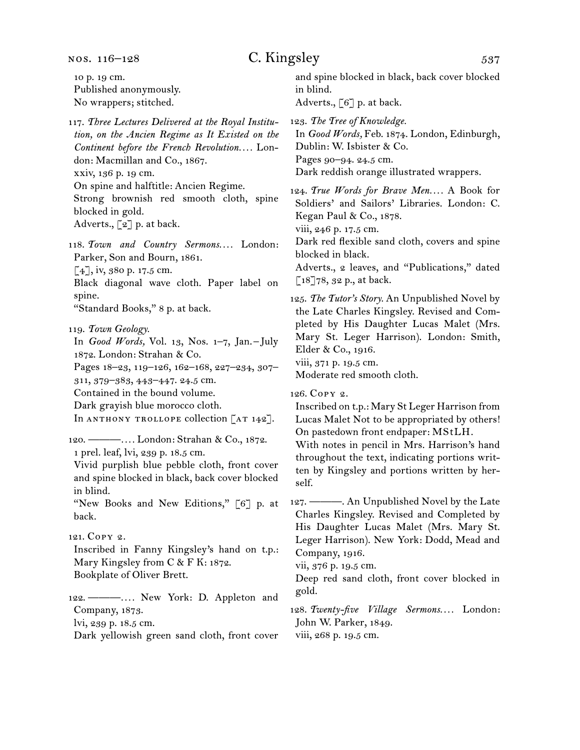nos. 116–128

10 p. 19 cm. Published anonymously. No wrappers; stitched.

## C. Kingsley 537

and spine blocked in black, back cover blocked in blind.

Adverts., [6] p. at back.

117. *Three Lectures Delivered at the Royal Institution, on the Ancien Regime as It Existed on the Continent before the French Revolution. . . .* London: Macmillan and Co., 1867. xxiv, 136 p. 19 cm. On spine and halftitle: Ancien Regime. Strong brownish red smooth cloth, spine blocked in gold. Adverts., [2] p. at back.

118. Town and Country Sermons.... London: Parker, Son and Bourn, 1861. [4], iv, 380 p. 17.5 cm.

Black diagonal wave cloth. Paper label on spine.

"Standard Books," 8 p. at back.

119. *Town Geology.*

In *Good Words,* Vol. 13, Nos. 1–7, Jan. –July 1872. London: Strahan & Co. Pages 18–23, 119–126, 162–168, 227–234, 307–

311, 379–383, 443–447. 24.5 cm.

Contained in the bound volume.

Dark grayish blue morocco cloth.

In ANTHONY TROLLOPE collection  $[AT 142]$ .

120. ———*. . . .* London: Strahan & Co., 1872.

1 prel. leaf, lvi, 239 p. 18.5 cm.

Vivid purplish blue pebble cloth, front cover and spine blocked in black, back cover blocked in blind.

"New Books and New Editions," [6] p. at back.

### 121. Copy 2.

Inscribed in Fanny Kingsley's hand on t.p.: Mary Kingsley from C & F K: 1872. Bookplate of Oliver Brett.

122. ———*. . . .* New York: D. Appleton and Company, 1873. lvi, 239 p. 18.5 cm.

Dark yellowish green sand cloth, front cover

123. *The Tree of Knowledge.* In *Good Words,* Feb. 1874. London, Edinburgh, Dublin: W. Isbister & Co.

Pages 90–94. 24.5 cm.

Dark reddish orange illustrated wrappers.

124. *True Words for Brave Men. . . .* A Book for Soldiers' and Sailors' Libraries. London: C. Kegan Paul & Co., 1878.

viii, 246 p. 17.5 cm.

Dark red flexible sand cloth, covers and spine blocked in black.

Adverts., 2 leaves, and "Publications," dated [18]78, 32 p., at back.

125. *The Tutor's Story.* An Unpublished Novel by the Late Charles Kingsley. Revised and Completed by His Daughter Lucas Malet (Mrs. Mary St. Leger Harrison). London: Smith, Elder & Co., 1916. viii, 371 p. 19.5 cm.

Moderate red smooth cloth.

126. Copy 2.

Inscribed on t.p.: Mary St Leger Harrison from Lucas Malet Not to be appropriated by others! On pastedown front endpaper: MStLH.

With notes in pencil in Mrs. Harrison's hand throughout the text, indicating portions written by Kingsley and portions written by herself.

127. ———. An Unpublished Novel by the Late Charles Kingsley. Revised and Completed by His Daughter Lucas Malet (Mrs. Mary St. Leger Harrison). New York: Dodd, Mead and Company, 1916.

vii, 376 p. 19.5 cm.

Deep red sand cloth, front cover blocked in gold.

128. *Twenty-five Village Sermons. . . .* London: John W. Parker, 1849.

viii, 268 p. 19.5 cm.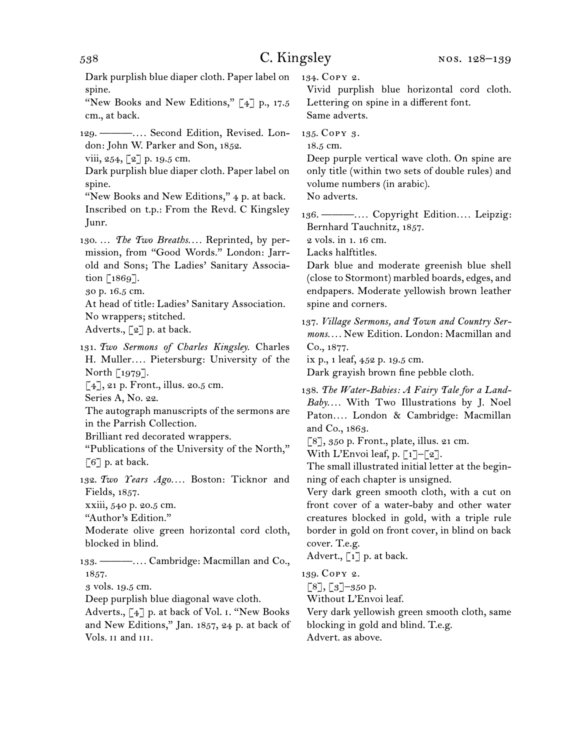538 C. Kingsley Dark purplish blue diaper cloth. Paper label on spine. "New Books and New Editions," [4] p., 17.5 cm., at back. 129. ———*. . . .* Second Edition, Revised. London: John W. Parker and Son, 1852. viii, 254,  $[2]$  p. 19.5 cm. Dark purplish blue diaper cloth. Paper label on spine. "New Books and New Editions," 4 p. at back. Inscribed on t.p.: From the Revd. C Kingsley Junr. 130. … *The Two Breaths. . . .* Reprinted, by permission, from "Good Words." London: Jarrold and Sons; The Ladies' Sanitary Association [1869]. 30 p. 16.5 cm. At head of title: Ladies' Sanitary Association. No wrappers; stitched. Adverts., [2] p. at back. 131. *Two Sermons of Charles Kingsley.* Charles H. Muller*. . . .* Pietersburg: University of the North [1979]. [4], 21 p. Front., illus. 20.5 cm.

Series A, No. 22.

The autograph manuscripts of the sermons are in the Parrish Collection.

Brilliant red decorated wrappers.

"Publications of the University of the North,"  $\lceil 6 \rceil$  p. at back.

132. *Two Years Ago. . . .* Boston: Ticknor and Fields, 1857.

xxiii, 540 p. 20.5 cm.

"Author's Edition."

Moderate olive green horizontal cord cloth, blocked in blind.

133. ———*. . . .* Cambridge: Macmillan and Co., 1857.

3 vols. 19.5 cm.

Deep purplish blue diagonal wave cloth.

Adverts., [4] p. at back of Vol. i. "New Books and New Editions," Jan. 1857, 24 p. at back of Vols. ii and iii.

134. Copy 2.

Vivid purplish blue horizontal cord cloth. Lettering on spine in a different font. Same adverts.

135. Copy 3.

18.5 cm.

Deep purple vertical wave cloth. On spine are only title (within two sets of double rules) and volume numbers (in arabic).

No adverts.

136. ———*. . . .* Copyright Edition*. . . .* Leipzig: Bernhard Tauchnitz, 1857.

2 vols. in 1. 16 cm.

Lacks halftitles.

Dark blue and moderate greenish blue shell (close to Stormont) marbled boards, edges, and endpapers. Moderate yellowish brown leather spine and corners.

137. *Village Sermons, and Town and Country Sermons. . . .* New Edition. London: Macmillan and Co., 1877.

ix p., 1 leaf, 452 p. 19.5 cm.

Dark grayish brown fine pebble cloth.

138. *The Water-Babies: A Fairy Tale for a Land-Baby. . . .* With Two Illustrations by J. Noel Paton*. . . .* London & Cambridge: Macmillan and Co., 1863.

 $[8]$ , 350 p. Front., plate, illus. 21 cm.

With L'Envoi leaf, p.  $\lceil 1 \rceil - \lceil 2 \rceil$ .

The small illustrated initial letter at the beginning of each chapter is unsigned.

Very dark green smooth cloth, with a cut on front cover of a water-baby and other water creatures blocked in gold, with a triple rule border in gold on front cover, in blind on back cover. T.e.g.

Advert.,  $\begin{bmatrix} 1 \end{bmatrix}$  p. at back.

139. Copy 2.

 $\lceil 8 \rceil$ ,  $\lceil 3 \rceil$ –350 p.

Without L'Envoi leaf.

Very dark yellowish green smooth cloth, same blocking in gold and blind. T.e.g.

Advert. as above.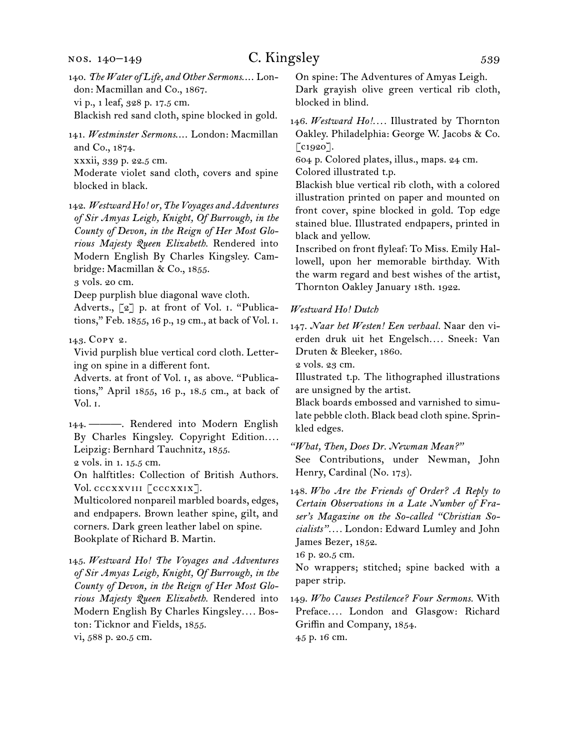140. *The Water of Life, and Other Sermons*.... London: Macmillan and Co., 1867. vi p., 1 leaf, 328 p. 17.5 cm.

Blackish red sand cloth, spine blocked in gold.

141. *Westminster Sermons*.... London: Macmillan and Co., 1874. xxxii, 339 p. 22.5 cm.

Moderate violet sand cloth, covers and spine blocked in black.

142. *Westward Ho! or, The Voyages and Adventures of Sir Amyas Leigh, Knight, Of Burrough, in the County of Devon, in the Reign of Her Most Glorious Majesty Queen Elizabeth.* Rendered into Modern English By Charles Kingsley. Cambridge: Macmillan & Co., 1855.

3 vols. 20 cm.

Deep purplish blue diagonal wave cloth.

Adverts., [2] p. at front of Vol. i. "Publications," Feb. 1855, 16 p., 19 cm., at back of Vol. i.

143. Copy 2.

Vivid purplish blue vertical cord cloth. Lettering on spine in a different font.

Adverts. at front of Vol. i, as above. "Publications," April 1855, 16 p., 18.5 cm., at back of Vol. i.

144. ———. Rendered into Modern English By Charles Kingsley. Copyright Edition*. . . .*  Leipzig: Bernhard Tauchnitz, 1855. 2 vols. in 1. 15.5 cm.

On halftitles: Collection of British Authors. Vol. cccxxviii [cccxxix].

Multicolored nonpareil marbled boards, edges, and endpapers. Brown leather spine, gilt, and corners. Dark green leather label on spine. Bookplate of Richard B. Martin.

145. *Westward Ho! The Voyages and Adventures of Sir Amyas Leigh, Knight, Of Burrough, in the County of Devon, in the Reign of Her Most Glorious Majesty Queen Elizabeth.* Rendered into Modern English By Charles Kingsley*. . . .* Boston: Ticknor and Fields, 1855. vi, 588 p. 20.5 cm.

On spine: The Adventures of Amyas Leigh. Dark grayish olive green vertical rib cloth, blocked in blind.

146. Westward Ho!.... Illustrated by Thornton Oakley. Philadelphia: George W. Jacobs & Co.  $\lceil$  c1920].

604 p. Colored plates, illus., maps. 24 cm.

Colored illustrated t.p.

Blackish blue vertical rib cloth, with a colored illustration printed on paper and mounted on front cover, spine blocked in gold. Top edge stained blue. Illustrated endpapers, printed in black and yellow.

Inscribed on front flyleaf: To Miss. Emily Hallowell, upon her memorable birthday. With the warm regard and best wishes of the artist, Thornton Oakley January 18th. 1922.

#### *Westward Ho! Dutch*

147. *Naar het Westen! Een verhaal.* Naar den vierden druk uit het Engelsch*. . . .* Sneek: Van Druten & Bleeker, 1860.

2 vols. 23 cm.

Illustrated t.p. The lithographed illustrations are unsigned by the artist.

Black boards embossed and varnished to simulate pebble cloth. Black bead cloth spine. Sprinkled edges.

*"What, Then, Does Dr. Newman Mean?"*

See Contributions, under Newman, John Henry, Cardinal (No. 173).

148. *Who Are the Friends of Order? A Reply to Certain Observations in a Late Number of Fraser's Magazine on the So-called "Christian Socialists". . . .* London: Edward Lumley and John James Bezer, 1852.

16 p. 20.5 cm.

No wrappers; stitched; spine backed with a paper strip.

149. *Who Causes Pestilence? Four Sermons.* With Preface*. . . .* London and Glasgow: Richard Griffin and Company, 1854.

45 p. 16 cm.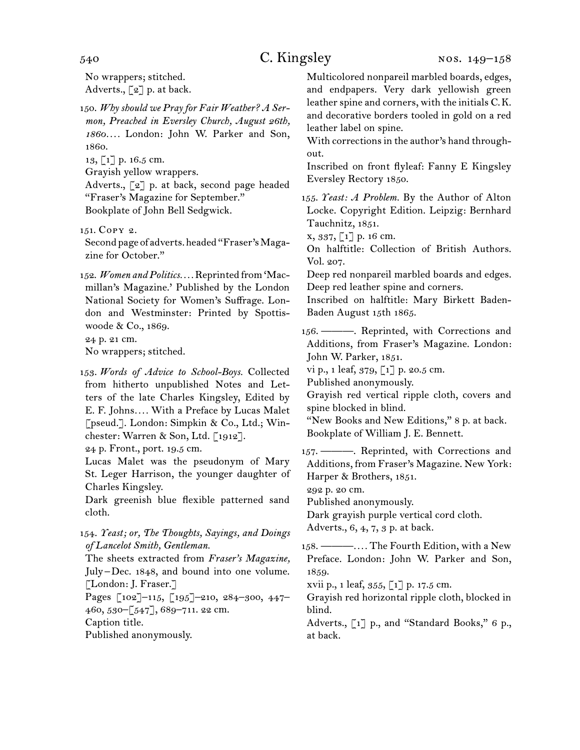No wrappers; stitched. Adverts.,  $\lceil 2 \rceil$  p. at back.

150. *Why should we Pray for Fair Weather? A Sermon, Preached in Eversley Church, August 26th, 1860. . . .* London: John W. Parker and Son, 1860.

13, [1] p. 16.5 cm.

Grayish yellow wrappers.

Adverts., [2] p. at back, second page headed "Fraser's Magazine for September." Bookplate of John Bell Sedgwick.

151. Copy 2.

Second page of adverts. headed "Fraser's Magazine for October."

152. *Women and Politics. . . .* Reprinted from 'Macmillan's Magazine.' Published by the London National Society for Women's Suffrage. London and Westminster: Printed by Spottiswoode & Co., 1869. 24 p. 21 cm.

No wrappers; stitched.

153. *Words of Advice to School-Boys.* Collected from hitherto unpublished Notes and Letters of the late Charles Kingsley, Edited by E. F. Johns*. . . .* With a Preface by Lucas Malet [pseud.]. London: Simpkin & Co., Ltd.; Winchester: Warren & Son, Ltd. [1912].

24 p. Front., port. 19.5 cm.

Lucas Malet was the pseudonym of Mary St. Leger Harrison, the younger daughter of Charles Kingsley.

Dark greenish blue flexible patterned sand cloth.

154. *Yeast; or, The Thoughts, Sayings, and Doings of Lancelot Smith, Gentleman.*

The sheets extracted from *Fraser's Magazine,* July –Dec. 1848, and bound into one volume. [London: J. Fraser.] Pages [102]–115, [195]–210, 284–300, 447– 460, 530–[547], 689–711. 22 cm. Caption title.

Published anonymously.

Multicolored nonpareil marbled boards, edges, and endpapers. Very dark yellowish green leather spine and corners, with the initials C.K. and decorative borders tooled in gold on a red leather label on spine.

With corrections in the author's hand throughout.

Inscribed on front flyleaf: Fanny E Kingsley Eversley Rectory 1850.

155. *Yeast: A Problem.* By the Author of Alton Locke. Copyright Edition. Leipzig: Bernhard Tauchnitz, 1851.

x, 337, [1] p. 16 cm.

On halftitle: Collection of British Authors. Vol. 207.

Deep red nonpareil marbled boards and edges. Deep red leather spine and corners.

Inscribed on halftitle: Mary Birkett Baden-Baden August 15th 1865.

156. ———. Reprinted, with Corrections and Additions, from Fraser's Magazine. London: John W. Parker, 1851.

vi p., 1 leaf, 379, [1] p. 20.5 cm.

Published anonymously.

Grayish red vertical ripple cloth, covers and spine blocked in blind.

"New Books and New Editions," 8 p. at back. Bookplate of William J. E. Bennett.

157. ———. Reprinted, with Corrections and Additions, from Fraser's Magazine. New York: Harper & Brothers, 1851.

292 p. 20 cm.

Published anonymously.

Dark grayish purple vertical cord cloth.

Adverts., 6, 4, 7, 3 p. at back.

158. ———*. . . .* The Fourth Edition, with a New Preface. London: John W. Parker and Son, 1859.

xvii p., 1 leaf, 355, [1] p. 17.5 cm.

Grayish red horizontal ripple cloth, blocked in blind.

Adverts., [1] p., and "Standard Books," 6 p., at back.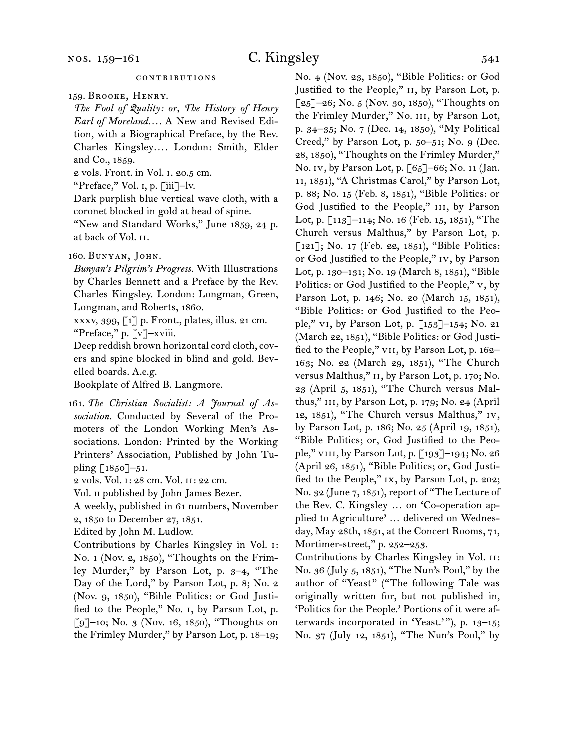*The Fool of Quality: or, The History of Henry Earl of Moreland. . . .* A New and Revised Edition, with a Biographical Preface, by the Rev. Charles Kingsley*. . . .* London: Smith, Elder and Co., 1859.

2 vols. Front. in Vol. i. 20.5 cm.

"Preface," Vol. i, p. [iii]–lv.

Dark purplish blue vertical wave cloth, with a coronet blocked in gold at head of spine.

"New and Standard Works," June 1859, 24 p. at back of Vol. ii.

#### 160. Bunyan, John.

*Bunyan's Pilgrim's Progress.* With Illustrations by Charles Bennett and a Preface by the Rev. Charles Kingsley. London: Longman, Green, Longman, and Roberts, 1860.

xxxv, 399, [1] p. Front., plates, illus. 21 cm. "Preface," p. [v]–xviii.

Deep reddish brown horizontal cord cloth, covers and spine blocked in blind and gold. Bevelled boards. A.e.g.

Bookplate of Alfred B. Langmore.

161. *The Christian Socialist: A Journal of Association.* Conducted by Several of the Promoters of the London Working Men's Associations. London: Printed by the Working Printers' Association, Published by John Tupling [1850]–51.

2 vols. Vol. i: 28 cm. Vol. ii: 22 cm.

Vol. ii published by John James Bezer.

A weekly, published in 61 numbers, November

2, 1850 to December 27, 1851.

Edited by John M. Ludlow.

Contributions by Charles Kingsley in Vol. i: No. 1 (Nov. 2, 1850), "Thoughts on the Frimley Murder," by Parson Lot, p. 3–4, "The Day of the Lord," by Parson Lot, p. 8; No. 2 (Nov. 9, 1850), "Bible Politics: or God Justified to the People," No. i, by Parson Lot, p.  $[9]$ –10; No. 3 (Nov. 16, 1850), "Thoughts on the Frimley Murder," by Parson Lot, p. 18–19; No. 4 (Nov. 23, 1850), "Bible Politics: or God Justified to the People," II, by Parson Lot, p.  $[25]$ –26; No. 5 (Nov. 30, 1850), "Thoughts on the Frimley Murder," No. iii, by Parson Lot, p. 34–35; No. 7 (Dec. 14, 1850), "My Political Creed," by Parson Lot, p. 50–51; No. 9 (Dec. 28, 1850), "Thoughts on the Frimley Murder," No. iv, by Parson Lot, p. [65]–66; No. 11 (Jan. 11, 1851), "A Christmas Carol," by Parson Lot, p. 88; No. 15 (Feb. 8, 1851), "Bible Politics: or God Justified to the People," III, by Parson Lot, p. [113]–114; No. 16 (Feb. 15, 1851), "The Church versus Malthus," by Parson Lot, p. [121]; No. 17 (Feb. 22, 1851), "Bible Politics: or God Justified to the People," iv, by Parson Lot, p. 130–131; No. 19 (March 8, 1851), "Bible Politics: or God Justified to the People," v, by Parson Lot, p. 146; No. 20 (March 15, 1851), "Bible Politics: or God Justified to the People," vi, by Parson Lot, p. [153]–154; No. 21 (March 22, 1851), "Bible Politics: or God Justified to the People," VII, by Parson Lot, p. 162-163; No. 22 (March 29, 1851), "The Church versus Malthus," II, by Parson Lot, p. 170; No. 23 (April 5, 1851), "The Church versus Malthus," iii, by Parson Lot, p. 179; No. 24 (April 12, 1851), "The Church versus Malthus," iv, by Parson Lot, p. 186; No. 25 (April 19, 1851), "Bible Politics; or, God Justified to the People," viii, by Parson Lot, p. [193]–194; No. 26 (April 26, 1851), "Bible Politics; or, God Justified to the People," ix, by Parson Lot, p. 202; No. 32 (June 7, 1851), report of "The Lecture of the Rev. C. Kingsley … on 'Co-operation applied to Agriculture' … delivered on Wednesday, May 28th, 1851, at the Concert Rooms, 71, Mortimer-street," p. 252–253.

Contributions by Charles Kingsley in Vol. ii: No. 36 (July 5, 1851), "The Nun's Pool," by the author of "Yeast" ("The following Tale was originally written for, but not published in, 'Politics for the People.' Portions of it were afterwards incorporated in 'Yeast.'"), p. 13-15; No. 37 (July 12, 1851), "The Nun's Pool," by

<sup>159.</sup> Brooke, Henry.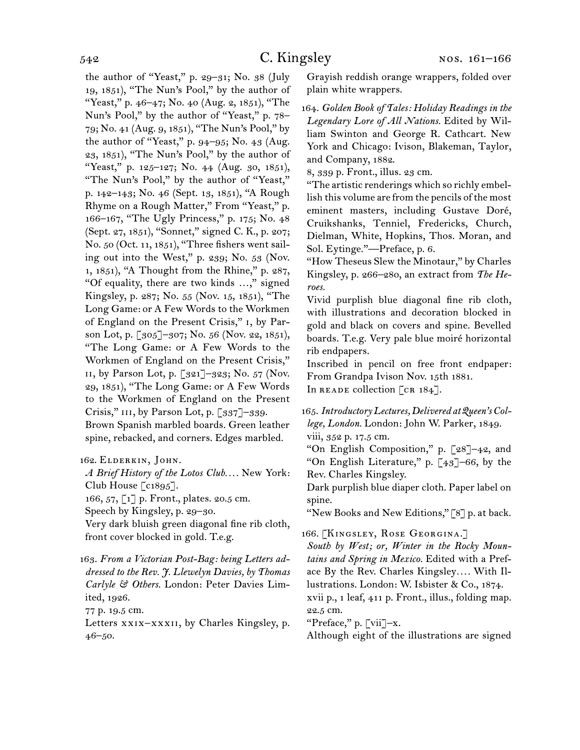the author of "Yeast," p. 29–31; No. 38 (July 19, 1851), "The Nun's Pool," by the author of "Yeast," p. 46–47; No. 40 (Aug. 2, 1851), "The Nun's Pool," by the author of "Yeast," p. 78– 79; No. 41 (Aug. 9, 1851), "The Nun's Pool," by the author of "Yeast," p. 94–95; No. 43 (Aug. 23, 1851), "The Nun's Pool," by the author of "Yeast," p. 125-127; No. 44 (Aug. 30, 1851), "The Nun's Pool," by the author of "Yeast," p. 142–143; No. 46 (Sept. 13, 1851), "A Rough Rhyme on a Rough Matter," From "Yeast," p. 166–167, "The Ugly Princess," p. 175; No. 48 (Sept. 27, 1851), "Sonnet," signed C. K., p. 207; No. 50 (Oct. 11, 1851), "Three fishers went sailing out into the West," p. 239; No. 53 (Nov. 1, 1851), "A Thought from the Rhine," p. 287, "Of equality, there are two kinds …," signed Kingsley, p. 287; No. 55 (Nov. 15, 1851), "The Long Game: or A Few Words to the Workmen of England on the Present Crisis," i, by Parson Lot, p. [305]–307; No. 56 (Nov. 22, 1851), "The Long Game: or A Few Words to the Workmen of England on the Present Crisis," ii, by Parson Lot, p. [321]–323; No. 57 (Nov. 29, 1851), "The Long Game: or A Few Words to the Workmen of England on the Present Crisis,"  $III$ , by Parson Lot, p. [337]-339. Brown Spanish marbled boards. Green leather spine, rebacked, and corners. Edges marbled.

162. Elderkin, John.

*A Brief History of the Lotos Club. . . .* New York: Club House  $\lceil c_1 895 \rceil$ .

166, 57, [1] p. Front., plates. 20.5 cm.

Speech by Kingsley, p. 29–30.

Very dark bluish green diagonal fine rib cloth, front cover blocked in gold. T.e.g.

163. *From a Victorian Post-Bag: being Letters addressed to the Rev. J. Llewelyn Davies, by Thomas Carlyle & Others.* London: Peter Davies Limited, 1926.

77 p. 19.5 cm.

Letters xxix–xxxii, by Charles Kingsley, p. 46–50.

Grayish reddish orange wrappers, folded over plain white wrappers.

164. *Golden Book of Tales: Holiday Readings in the Legendary Lore of All Nations.* Edited by William Swinton and George R. Cathcart. New York and Chicago: Ivison, Blakeman, Taylor, and Company, 1882.

8, 339 p. Front., illus. 23 cm.

"The artistic renderings which so richly embellish this volume are from the pencils of the most eminent masters, including Gustave Doré, Cruikshanks, Tenniel, Fredericks, Church, Dielman, White, Hopkins, Thos. Moran, and Sol. Eytinge."—Preface, p. 6.

"How Theseus Slew the Minotaur," by Charles Kingsley, p. 266–280, an extract from *The Heroes.*

Vivid purplish blue diagonal fine rib cloth, with illustrations and decoration blocked in gold and black on covers and spine. Bevelled boards. T.e.g. Very pale blue moiré horizontal rib endpapers.

Inscribed in pencil on free front endpaper: From Grandpa Ivison Nov. 15th 1881.

In READE collection  $\lceil$  CR 184].

165. *Introductory Lectures, Delivered at Queen's College, London.* London: John W. Parker, 1849. viii, 352 p. 17.5 cm.

"On English Composition," p. [28]–42, and "On English Literature," p. [43]–66, by the Rev. Charles Kingsley.

Dark purplish blue diaper cloth. Paper label on spine.

"New Books and New Editions," [8] p. at back.

166. [Kingsley, Rose Georgina.]

*South by West; or, Winter in the Rocky Mountains and Spring in Mexico.* Edited with a Preface By the Rev. Charles Kingsley*. . . .* With Illustrations. London: W. Isbister & Co., 1874.

xvii p., 1 leaf, 411 p. Front., illus., folding map. 22.5 cm.

"Preface," p. [vii]–x.

Although eight of the illustrations are signed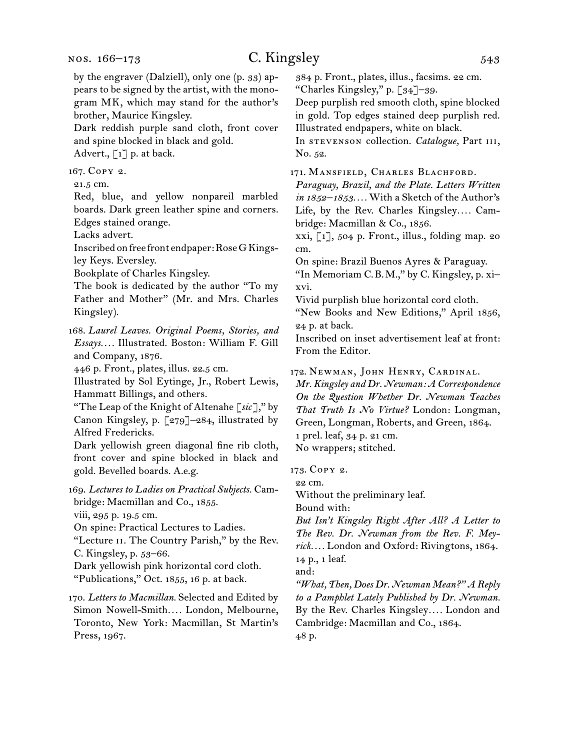by the engraver (Dalziell), only one (p. 33) appears to be signed by the artist, with the monogram MK, which may stand for the author's brother, Maurice Kingsley.

Dark reddish purple sand cloth, front cover and spine blocked in black and gold.

Advert.,  $\lceil 1 \rceil$  p. at back.

167. Copy 2.

21.5 cm.

Red, blue, and yellow nonpareil marbled boards. Dark green leather spine and corners. Edges stained orange.

Lacks advert.

Inscribed on free front endpaper: Rose G Kingsley Keys. Eversley.

Bookplate of Charles Kingsley.

The book is dedicated by the author "To my Father and Mother" (Mr. and Mrs. Charles Kingsley).

168. *Laurel Leaves. Original Poems, Stories, and Essays. . . .* Illustrated. Boston: William F. Gill and Company, 1876.

446 p. Front., plates, illus. 22.5 cm.

Illustrated by Sol Eytinge, Jr., Robert Lewis, Hammatt Billings, and others.

"The Leap of the Knight of Altenahe [*sic*]," by Canon Kingsley, p. [279]–284, illustrated by Alfred Fredericks.

Dark yellowish green diagonal fine rib cloth, front cover and spine blocked in black and gold. Bevelled boards. A.e.g.

169. *Lectures to Ladies on Practical Subjects.* Cambridge: Macmillan and Co., 1855.

viii, 295 p. 19.5 cm.

On spine: Practical Lectures to Ladies.

"Lecture ii. The Country Parish," by the Rev. C. Kingsley, p. 53–66.

Dark yellowish pink horizontal cord cloth. "Publications," Oct. 1855, 16 p. at back.

170. *Letters to Macmillan.* Selected and Edited by Simon Nowell-Smith*. . . .* London, Melbourne, Toronto, New York: Macmillan, St Martin's Press, 1967.

384 p. Front., plates, illus., facsims. 22 cm. "Charles Kingsley," p. [34]–39.

Deep purplish red smooth cloth, spine blocked in gold. Top edges stained deep purplish red. Illustrated endpapers, white on black.

In stevenson collection. *Catalogue,* Part iii, No. 52.

171. MANSFIELD, CHARLES BLACHFORD.

*Paraguay, Brazil, and the Plate. Letters Written in 1852–1853. . . .* With a Sketch of the Author's Life, by the Rev. Charles Kingsley.... Cambridge: Macmillan & Co., 1856.

 $xxi, [1], 504$  p. Front., illus., folding map. 20 cm.

On spine: Brazil Buenos Ayres & Paraguay.

"In Memoriam C.B.M.," by C. Kingsley, p. xi– xvi.

Vivid purplish blue horizontal cord cloth.

"New Books and New Editions," April 1856, 24 p. at back.

Inscribed on inset advertisement leaf at front: From the Editor.

172. Newman, John Henry, Cardinal.

*Mr. Kingsley and Dr. Newman: A Correspondence On the Question Whether Dr. Newman Teaches That Truth Is No Virtue?* London: Longman, Green, Longman, Roberts, and Green, 1864. 1 prel. leaf, 34 p. 21 cm. No wrappers; stitched.

173. Copy 2.

22 cm.

Without the preliminary leaf.

Bound with:

*But Isn't Kingsley Right After All? A Letter to The Rev. Dr. Newman from the Rev. F. Meyrick. . . .* London and Oxford: Rivingtons, 1864. 14 p., 1 leaf.

and:

*"What, Then, Does Dr. Newman Mean?" A Reply to a Pamphlet Lately Published by Dr. Newman.* By the Rev. Charles Kingsley*. . . .* London and Cambridge: Macmillan and Co., 1864. 48 p.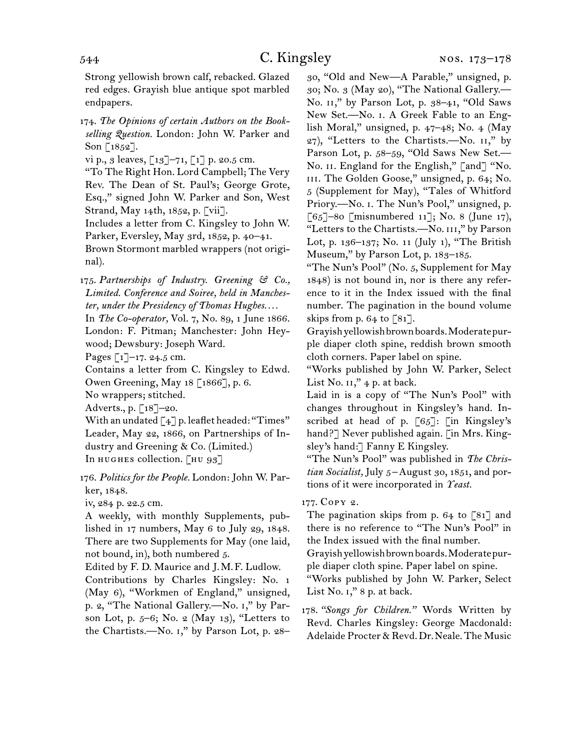Strong yellowish brown calf, rebacked. Glazed red edges. Grayish blue antique spot marbled endpapers.

174. *The Opinions of certain Authors on the Bookselling Question.* London: John W. Parker and Son  $\lceil 1852 \rceil$ .

vi p., 3 leaves,  $[13]$ -71,  $[1]$  p. 20.5 cm.

"To The Right Hon. Lord Campbell; The Very Rev. The Dean of St. Paul's; George Grote, Esq.," signed John W. Parker and Son, West Strand, May 14th, 1852, p. [vii].

Includes a letter from C. Kingsley to John W. Parker, Eversley, May 3rd, 1852, p. 40–41.

Brown Stormont marbled wrappers (not original).

175. *Partnerships of Industry. Greening & Co., Limited. Conference and Soiree, held in Manchester, under the Presidency of Thomas Hughes. . . .*

In *The Co-operator,* Vol. 7, No. 89, 1 June 1866. London: F. Pitman; Manchester: John Heywood; Dewsbury: Joseph Ward.

Pages  $\lceil 1 \rceil$ –17. 24.5 cm.

Contains a letter from C. Kingsley to Edwd. Owen Greening, May 18 [1866], p. 6.

No wrappers; stitched.

Adverts., p. [18]–20.

With an undated [4] p. leaflet headed: "Times" Leader, May 22, 1866, on Partnerships of Industry and Greening & Co. (Limited.) In HUGHES collection. [HU 93]

176. *Politics for the People.* London: John W. Parker, 1848.

iv, 284 p. 22.5 cm.

A weekly, with monthly Supplements, published in 17 numbers, May 6 to July 29, 1848. There are two Supplements for May (one laid, not bound, in), both numbered 5.

Edited by F. D. Maurice and J.M.F. Ludlow. Contributions by Charles Kingsley: No. 1 (May 6), "Workmen of England," unsigned, p. 2, "The National Gallery.—No. i," by Parson Lot, p. 5–6; No. 2 (May 13), "Letters to the Chartists.—No. i," by Parson Lot, p. 28–

30, "Old and New—A Parable," unsigned, p. 30; No. 3 (May 20), "The National Gallery.— No. II," by Parson Lot, p. 38-41, "Old Saws New Set.—No. i. A Greek Fable to an English Moral," unsigned, p. 47–48; No. 4 (May 27), "Letters to the Chartists.—No. ii," by Parson Lot, p. 58–59, "Old Saws New Set.— No. II. England for the English," [and] "No. III. The Golden Goose," unsigned, p. 64; No. 5 (Supplement for May), "Tales of Whitford Priory.-No. I. The Nun's Pool," unsigned, p. [65]–80 [misnumbered 11]; No. 8 (June 17), "Letters to the Chartists.-No. III," by Parson Lot, p. 136–137; No. 11 (July 1), "The British Museum," by Parson Lot, p. 183–185.

"The Nun's Pool" (No. 5, Supplement for May 1848) is not bound in, nor is there any reference to it in the Index issued with the final number. The pagination in the bound volume skips from p. 64 to  $\lceil 81 \rceil$ .

Grayish yellowish brown boards. Moderate purple diaper cloth spine, reddish brown smooth cloth corners. Paper label on spine.

"Works published by John W. Parker, Select List No.  $II,''$  4 p. at back.

Laid in is a copy of "The Nun's Pool" with changes throughout in Kingsley's hand. Inscribed at head of p. [65]: [in Kingsley's hand?] Never published again. [in Mrs. Kingsley's hand:] Fanny E Kingsley.

"The Nun's Pool" was published in *The Christian Socialist,* July 5 –August 30, 1851, and portions of it were incorporated in *Yeast.*

### 177. Copy 2.

The pagination skips from p. 64 to [81] and there is no reference to "The Nun's Pool" in the Index issued with the final number.

Grayish yellowish brown boards. Moderate purple diaper cloth spine. Paper label on spine.

"Works published by John W. Parker, Select List No. 1," 8 p. at back.

178. *"Songs for Children."* Words Written by Revd. Charles Kingsley: George Macdonald: Adelaide Procter & Revd. Dr. Neale. The Music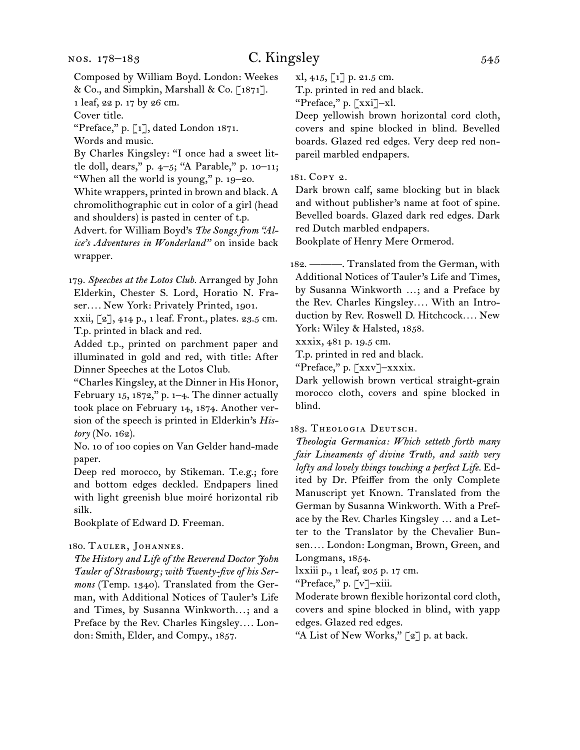Composed by William Boyd. London: Weekes

& Co., and Simpkin, Marshall & Co. [1871]. 1 leaf, 22 p. 17 by 26 cm.

Cover title.

"Preface," p. [1], dated London 1871.

Words and music.

By Charles Kingsley: "I once had a sweet little doll, dears," p. 4–5; "A Parable," p. 10–11; "When all the world is young," p. 19–20.

White wrappers, printed in brown and black. A chromolithographic cut in color of a girl (head and shoulders) is pasted in center of t.p.

Advert. for William Boyd's *The Songs from "Alice's Adventures in Wonderland"* on inside back wrapper.

179. *Speeches at the Lotos Club.* Arranged by John Elderkin, Chester S. Lord, Horatio N. Fraser*. . . .* New York: Privately Printed, 1901.

xxii, [2], 414 p., 1 leaf. Front., plates. 23.5 cm. T.p. printed in black and red.

Added t.p., printed on parchment paper and illuminated in gold and red, with title: After Dinner Speeches at the Lotos Club.

"Charles Kingsley, at the Dinner in His Honor, February 15, 1872," p. 1–4. The dinner actually took place on February 14, 1874. Another version of the speech is printed in Elderkin's *History* (No. 162).

No. 10 of 100 copies on Van Gelder hand-made paper.

Deep red morocco, by Stikeman. T.e.g.; fore and bottom edges deckled. Endpapers lined with light greenish blue moiré horizontal rib silk.

Bookplate of Edward D. Freeman.

#### 180. TAULER, JOHANNES.

*The History and Life of the Reverend Doctor John Tauler of Strasbourg; with Twenty-five of his Sermons* (Temp. 1340). Translated from the German, with Additional Notices of Tauler's Life and Times, by Susanna Winkworth*. . .*; and a Preface by the Rev. Charles Kingsley*. . . .* London: Smith, Elder, and Compy., 1857.

xl, 415, [1] p. 21.5 cm.

T.p. printed in red and black.

"Preface," p. [xxi]–xl.

Deep yellowish brown horizontal cord cloth, covers and spine blocked in blind. Bevelled boards. Glazed red edges. Very deep red nonpareil marbled endpapers.

181. Copy 2.

Dark brown calf, same blocking but in black and without publisher's name at foot of spine. Bevelled boards. Glazed dark red edges. Dark red Dutch marbled endpapers.

Bookplate of Henry Mere Ormerod.

182. ———. Translated from the German, with Additional Notices of Tauler's Life and Times, by Susanna Winkworth …; and a Preface by the Rev. Charles Kingsley*. . . .* With an Introduction by Rev. Roswell D. Hitchcock*. . . .* New York: Wiley & Halsted, 1858.

xxxix, 481 p. 19.5 cm.

T.p. printed in red and black.

"Preface," p. [xxv]–xxxix.

Dark yellowish brown vertical straight-grain morocco cloth, covers and spine blocked in blind.

183. Theologia Deutsch.

*Theologia Germanica: Which setteth forth many fair Lineaments of divine Truth, and saith very lofty and lovely things touching a perfect Life.* Edited by Dr. Pfeiffer from the only Complete Manuscript yet Known. Translated from the German by Susanna Winkworth. With a Preface by the Rev. Charles Kingsley … and a Letter to the Translator by the Chevalier Bunsen*. . . .* London: Longman, Brown, Green, and Longmans, 1854.

lxxiii p., 1 leaf, 205 p. 17 cm.

"Preface," p. [v]-xiii.

Moderate brown flexible horizontal cord cloth, covers and spine blocked in blind, with yapp edges. Glazed red edges.

"A List of New Works," [2] p. at back.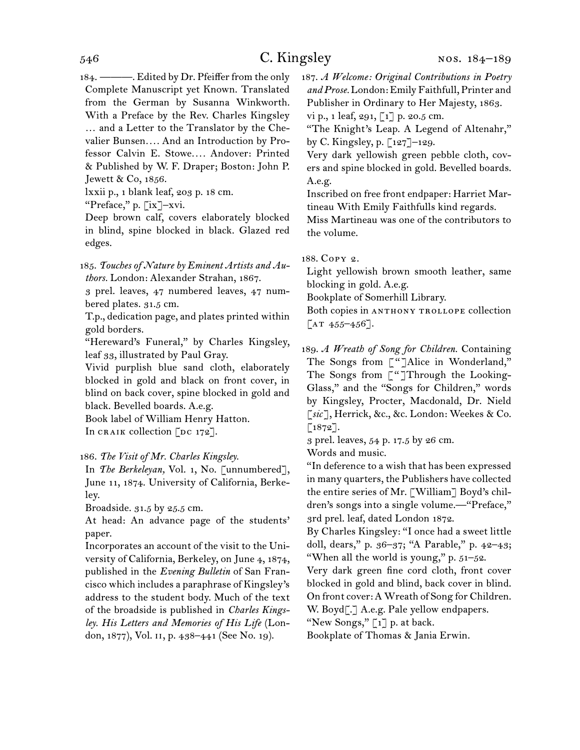184. ———. Edited by Dr. Pfeiffer from the only Complete Manuscript yet Known. Translated from the German by Susanna Winkworth. With a Preface by the Rev. Charles Kingsley … and a Letter to the Translator by the Chevalier Bunsen*. . . .* And an Introduction by Professor Calvin E. Stowe*. . . .* Andover: Printed & Published by W. F. Draper; Boston: John P. Jewett & Co, 1856.

lxxii p., 1 blank leaf, 203 p. 18 cm.

"Preface," p. [ix]-xvi.

Deep brown calf, covers elaborately blocked in blind, spine blocked in black. Glazed red edges.

185. *Touches of Nature by Eminent Artists and Authors.* London: Alexander Strahan, 1867.

3 prel. leaves, 47 numbered leaves, 47 numbered plates. 31.5 cm.

T.p., dedication page, and plates printed within gold borders.

"Hereward's Funeral," by Charles Kingsley, leaf 33, illustrated by Paul Gray.

Vivid purplish blue sand cloth, elaborately blocked in gold and black on front cover, in blind on back cover, spine blocked in gold and black. Bevelled boards. A.e.g.

Book label of William Henry Hatton. In CRAIK collection  $[$ DC 172].

#### 186. *The Visit of Mr. Charles Kingsley.*

In *The Berkeleyan,* Vol. 1, No. [unnumbered], June 11, 1874. University of California, Berkeley.

Broadside. 31.5 by 25.5 cm.

At head: An advance page of the students' paper.

Incorporates an account of the visit to the University of California, Berkeley, on June 4, 1874, published in the *Evening Bulletin* of San Francisco which includes a paraphrase of Kingsley's address to the student body. Much of the text of the broadside is published in *Charles Kingsley. His Letters and Memories of His Life* (London, 1877), Vol. ii, p. 438–441 (See No. 19).

187. *A Welcome: Original Contributions in Poetry and Prose.* London: Emily Faithfull, Printer and Publisher in Ordinary to Her Majesty, 1863. vi p., 1 leaf, 291, [1] p. 20.5 cm.

"The Knight's Leap. A Legend of Altenahr,"

by C. Kingsley, p.  $\lceil 127 \rceil$ –129.

Very dark yellowish green pebble cloth, covers and spine blocked in gold. Bevelled boards. A.e.g.

Inscribed on free front endpaper: Harriet Martineau With Emily Faithfulls kind regards.

Miss Martineau was one of the contributors to the volume.

188. Copy 2.

Light yellowish brown smooth leather, same blocking in gold. A.e.g.

Bookplate of Somerhill Library.

Both copies in ANTHONY TROLLOPE collection  $\lceil$ AT 455–456].

189. *A Wreath of Song for Children.* Containing The Songs from ["]Alice in Wonderland," The Songs from ["]Through the Looking-Glass," and the "Songs for Children," words by Kingsley, Procter, Macdonald, Dr. Nield [*sic*], Herrick, &c., &c. London: Weekes & Co. [1872].

3 prel. leaves, 54 p. 17.5 by 26 cm.

Words and music.

"In deference to a wish that has been expressed in many quarters, the Publishers have collected the entire series of Mr. [William] Boyd's children's songs into a single volume.—"Preface," 3rd prel. leaf, dated London 1872.

By Charles Kingsley: "I once had a sweet little doll, dears," p. 36–37; "A Parable," p. 42–43; "When all the world is young," p.  $51-52$ .

Very dark green fine cord cloth, front cover blocked in gold and blind, back cover in blind. On front cover: A Wreath of Song for Children.

W. Boyd[.] A.e.g. Pale yellow endpapers.

"New Songs,"  $\lceil 1 \rceil$  p. at back.

Bookplate of Thomas & Jania Erwin.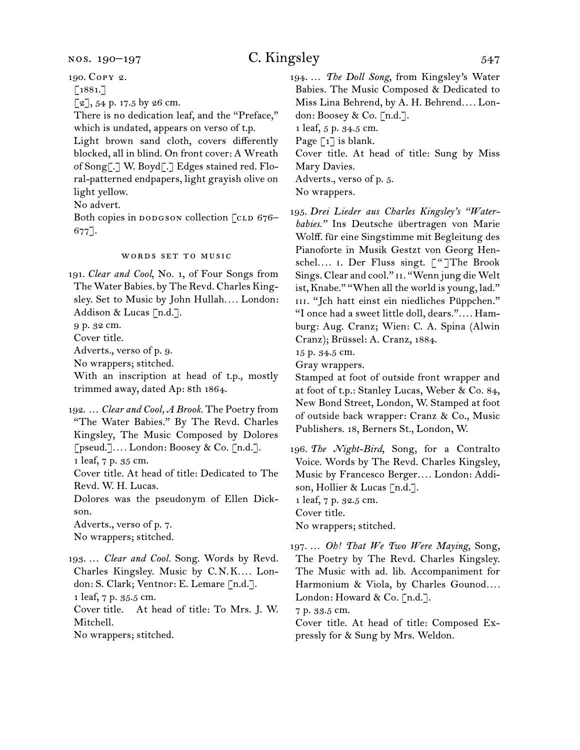190. Copy 2.

 $\lceil 1881. \rceil$ 

 $[2]$ , 54 p. 17.5 by 26 cm.

There is no dedication leaf, and the "Preface," which is undated, appears on verso of t.p.

Light brown sand cloth, covers differently blocked, all in blind. On front cover: A Wreath of Song[.] W. Boyd[.] Edges stained red. Floral-patterned endpapers, light grayish olive on light yellow.

No advert.

Both copies in DODGSON collection [CLD 676–  $677$ ].

#### words set to music

191. *Clear and Cool*, No. 1, of Four Songs from The Water Babies. by The Revd. Charles Kingsley. Set to Music by John Hullah*. . . .* London: Addison & Lucas [n.d.].

9 p. 32 cm.

Cover title.

Adverts., verso of p. 9.

No wrappers; stitched.

With an inscription at head of t.p., mostly trimmed away, dated Ap: 8th 1864.

192. … *Clear and Cool, A Brook.* The Poetry from "The Water Babies." By The Revd. Charles Kingsley, The Music Composed by Dolores [pseud.]*. . . .* London: Boosey & Co. [n.d.]. 1 leaf, 7 p. 35 cm.

Cover title. At head of title: Dedicated to The Revd. W. H. Lucas.

Dolores was the pseudonym of Ellen Dickson.

Adverts., verso of p. 7. No wrappers; stitched.

193. … *Clear and Cool.* Song. Words by Revd. Charles Kingsley. Music by C.N.K.... London: S. Clark; Ventnor: E. Lemare [n.d.]. 1 leaf, 7 p. 35.5 cm. Cover title. At head of title: To Mrs. J. W. Mitchell.

No wrappers; stitched.

194. … *The Doll Song*, from Kingsley's Water Babies. The Music Composed & Dedicated to Miss Lina Behrend, by A. H. Behrend*. . . .* London: Boosey & Co. [n.d.].

1 leaf, 5 p. 34.5 cm.

Page  $\lceil 1 \rceil$  is blank.

Cover title. At head of title: Sung by Miss Mary Davies.

Adverts., verso of p. 5.

No wrappers.

195. *Drei Lieder aus Charles Kingsley's "Waterbabies."* Ins Deutsche übertragen von Marie Wolff. für eine Singstimme mit Begleitung des Pianoforte in Musik Gestzt von Georg Henschel*. . . .* i. Der Fluss singt. ["]The Brook Sings. Clear and cool." II. "Wenn jung die Welt ist, Knabe." "When all the world is young, lad." III. "Jch hatt einst ein niedliches Püppchen." "I once had a sweet little doll, dears."*. . . .* Hamburg: Aug. Cranz; Wien: C. A. Spina (Alwin Cranz); Brüssel: A. Cranz, 1884.

15 p. 34.5 cm.

Gray wrappers.

Stamped at foot of outside front wrapper and at foot of t.p.: Stanley Lucas, Weber & Co. 84, New Bond Street, London, W. Stamped at foot of outside back wrapper: Cranz & Co., Music Publishers. 18, Berners St., London, W.

196. *The Night-Bird*, Song, for a Contralto Voice. Words by The Revd. Charles Kingsley, Music by Francesco Berger*. . . .* London: Addison, Hollier & Lucas [n.d.]. 1 leaf, 7 p. 32.5 cm. Cover title. No wrappers; stitched.

197. … *Oh! That We Two Were Maying*, Song, The Poetry by The Revd. Charles Kingsley. The Music with ad. lib. Accompaniment for Harmonium & Viola, by Charles Gounod*. . . .* London: Howard & Co. [n.d.].

7 p. 33.5 cm.

Cover title. At head of title: Composed Expressly for & Sung by Mrs. Weldon.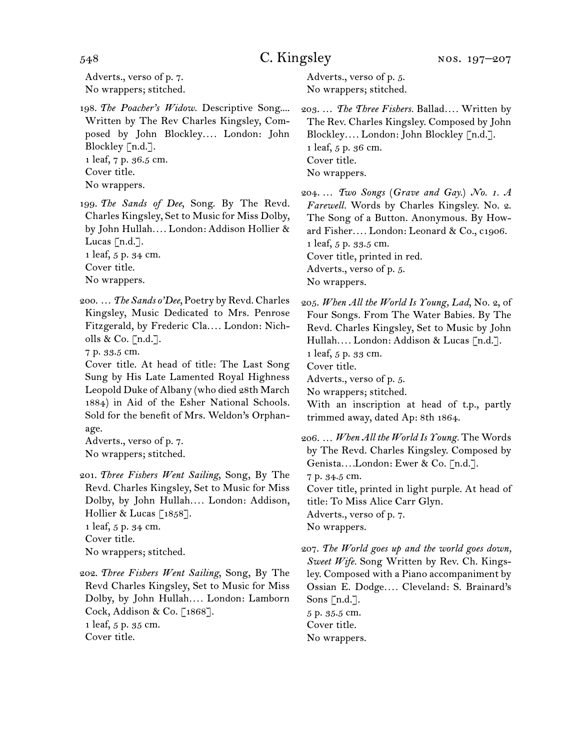Adverts., verso of p. 7. No wrappers; stitched.

- 198. *The Poacher's Widow.* Descriptive Song.... Written by The Rev Charles Kingsley, Composed by John Blockley*. . . .* London: John Blockley [n.d.]. 1 leaf, 7 p. 36.5 cm. Cover title. No wrappers.
- 199. *The Sands of Dee*, Song. By The Revd. Charles Kingsley, Set to Music for Miss Dolby, by John Hullah*. . . .* London: Addison Hollier & Lucas [n.d.]. 1 leaf, 5 p. 34 cm. Cover title.
- No wrappers.
- 200. … *The Sands o'Dee*, Poetry by Revd. Charles Kingsley, Music Dedicated to Mrs. Penrose Fitzgerald, by Frederic Cla*. . . .* London: Nicholls & Co. [n.d.].

7 p. 33.5 cm.

Cover title. At head of title: The Last Song Sung by His Late Lamented Royal Highness Leopold Duke of Albany (who died 28th March 1884) in Aid of the Esher National Schools. Sold for the benefit of Mrs. Weldon's Orphanage.

Adverts., verso of p. 7. No wrappers; stitched.

- 201. *Three Fishers Went Sailing*, Song, By The Revd. Charles Kingsley, Set to Music for Miss Dolby, by John Hullah*. . . .* London: Addison, Hollier & Lucas [1858]. 1 leaf, 5 p. 34 cm. Cover title. No wrappers; stitched.
- 202. *Three Fishers Went Sailing*, Song, By The Revd Charles Kingsley, Set to Music for Miss Dolby, by John Hullah*. . . .* London: Lamborn Cock, Addison & Co. [1868]. 1 leaf, 5 p. 35 cm. Cover title.

Adverts., verso of p. 5. No wrappers; stitched.

- 203. … *The Three Fishers.* Ballad*. . . .* Written by The Rev. Charles Kingsley. Composed by John Blockley*. . . .* London: John Blockley [n.d.]. 1 leaf, 5 p. 36 cm. Cover title. No wrappers.
- 204. … *Two Songs* (*Grave and Gay.*) *No. 1. A Farewell.* Words by Charles Kingsley. No. 2. The Song of a Button. Anonymous. By Howard Fisher*. . . .* London: Leonard & Co., c1906. 1 leaf, 5 p. 33.5 cm. Cover title, printed in red. Adverts., verso of p. 5. No wrappers.
- 205. *When All the World Is Young, Lad*, No. 2, of Four Songs. From The Water Babies. By The Revd. Charles Kingsley, Set to Music by John Hullah*. . . .* London: Addison & Lucas [n.d.]. 1 leaf, 5 p. 33 cm. Cover title. Adverts., verso of p. 5. No wrappers; stitched. With an inscription at head of t.p., partly trimmed away, dated Ap: 8th 1864.
- 206. … *When All the World Is Young.* The Words by The Revd. Charles Kingsley. Composed by Genista*. . . .*London: Ewer & Co. [n.d.]. 7 p. 34.5 cm. Cover title, printed in light purple. At head of title: To Miss Alice Carr Glyn. Adverts., verso of p. 7. No wrappers. 207. *The World goes up and the world goes down,*

*Sweet Wife.* Song Written by Rev. Ch. Kingsley. Composed with a Piano accompaniment by Ossian E. Dodge*. . . .* Cleveland: S. Brainard's Sons  $[n.d.]$ . 5 p. 35.5 cm. Cover title. No wrappers.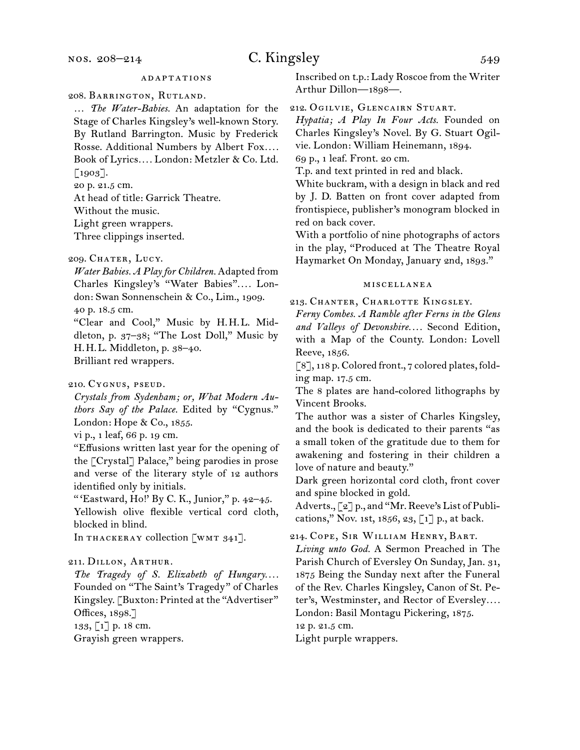nos. 208–214

## C. Kingsley 549

208. Barrington, Rutland.

… *The Water-Babies.* An adaptation for the Stage of Charles Kingsley's well-known Story. By Rutland Barrington. Music by Frederick Rosse. Additional Numbers by Albert Fox*. . . .*  Book of Lyrics*. . . .* London: Metzler & Co. Ltd. [1903].

20 p. 21.5 cm.

At head of title: Garrick Theatre.

Without the music.

Light green wrappers.

Three clippings inserted.

*Water Babies. A Play for Children.* Adapted from Charles Kingsley's "Water Babies"*. . . .* London: Swan Sonnenschein & Co., Lim., 1909.

40 p. 18.5 cm.

"Clear and Cool," Music by H.H.L. Middleton, p. 37–38; "The Lost Doll," Music by H.H.L. Middleton, p. 38–40. Brilliant red wrappers.

210. Cygnus, pseud.

*Crystals from Sydenham; or, What Modern Authors Say of the Palace.* Edited by "Cygnus." London: Hope & Co., 1855.

vi p., 1 leaf, 66 p. 19 cm.

"Effusions written last year for the opening of the [Crystal] Palace," being parodies in prose and verse of the literary style of 12 authors identified only by initials.

" 'Eastward, Ho!' By C. K., Junior," p. 42–45. Yellowish olive flexible vertical cord cloth, blocked in blind.

In THACKERAY collection [WMT 341].

#### 211. Dillon, Arthur.

The Tragedy of S. Elizabeth of Hungary.... Founded on "The Saint's Tragedy" of Charles Kingsley. [Buxton: Printed at the "Advertiser" Offices, 1898.]

133, [1] p. 18 cm.

Grayish green wrappers.

Inscribed on t.p.: Lady Roscoe from the Writer Arthur Dillon—1898—.

212. Ogilvie, Glencairn Stuart.

*Hypatia; A Play In Four Acts.* Founded on Charles Kingsley's Novel. By G. Stuart Ogilvie. London: William Heinemann, 1894.

69 p., 1 leaf. Front. 20 cm.

T.p. and text printed in red and black.

White buckram, with a design in black and red by J. D. Batten on front cover adapted from frontispiece, publisher's monogram blocked in red on back cover.

With a portfolio of nine photographs of actors in the play, "Produced at The Theatre Royal Haymarket On Monday, January 2nd, 1893."

#### miscellanea

213. Chanter, Charlotte Kingsley.

*Ferny Combes. A Ramble after Ferns in the Glens and Valleys of Devonshire. . . .* Second Edition, with a Map of the County. London: Lovell Reeve, 1856.

[8], 118 p. Colored front., 7 colored plates, folding map. 17.5 cm.

The 8 plates are hand-colored lithographs by Vincent Brooks.

The author was a sister of Charles Kingsley, and the book is dedicated to their parents "as a small token of the gratitude due to them for awakening and fostering in their children a love of nature and beauty."

Dark green horizontal cord cloth, front cover and spine blocked in gold.

Adverts., [2] p., and "Mr. Reeve's List of Publications," Nov. 1st, 1856, 23,  $\lceil 1 \rceil$  p., at back.

214. Cope, Sir William Henry, Bart.

*Living unto God.* A Sermon Preached in The Parish Church of Eversley On Sunday, Jan. 31, 1875 Being the Sunday next after the Funeral of the Rev. Charles Kingsley, Canon of St. Peter's, Westminster, and Rector of Eversley*. . . .*  London: Basil Montagu Pickering, 1875.

12 p. 21.5 cm.

Light purple wrappers.

<sup>209.</sup> CHATER, LUCY.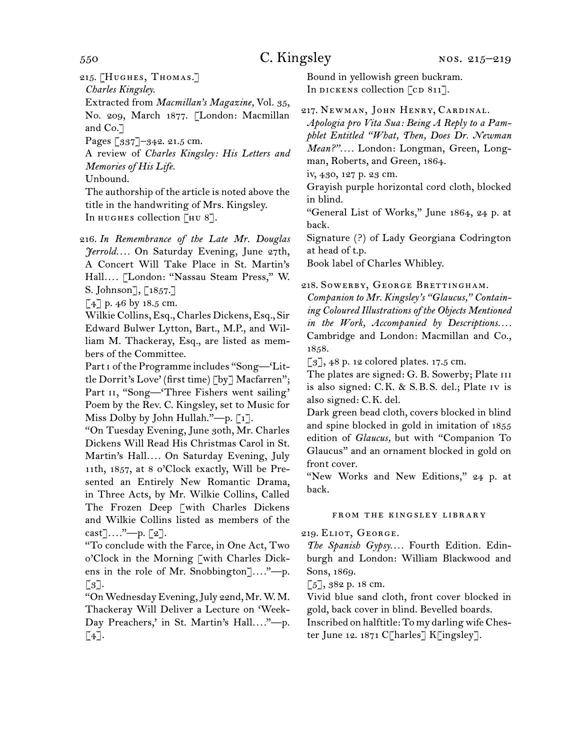215. [Hughes, Thomas.]

*Charles Kingsley.*

Extracted from *Macmillan's Magazine,* Vol. 35, No. 209, March 1877. [London: Macmillan and Co.]

Pages [337]–342. 21.5 cm.

A review of *Charles Kingsley: His Letters and Memories of His Life.*

Unbound.

The authorship of the article is noted above the title in the handwriting of Mrs. Kingsley. In HUGHES collection [HU 8].

216. *In Remembrance of the Late Mr. Douglas Jerrold. . . .* On Saturday Evening, June 27th, A Concert Will Take Place in St. Martin's Hall*. . . .* [London: "Nassau Steam Press," W. S. Johnson], [1857.]

 $[4]$  p. 46 by 18.5 cm.

Wilkie Collins, Esq., Charles Dickens, Esq., Sir Edward Bulwer Lytton, Bart., M.P., and William M. Thackeray, Esq., are listed as members of the Committee.

Part i of the Programme includes "Song—'Little Dorrit's Love' (first time) [by] Macfarren"; Part II, "Song-'Three Fishers went sailing' Poem by the Rev. C. Kingsley, set to Music for Miss Dolby by John Hullah."—p.  $\lceil 1 \rceil$ .

"On Tuesday Evening, June 30th, Mr. Charles Dickens Will Read His Christmas Carol in St. Martin's Hall*. . . .* On Saturday Evening, July 11th, 1857, at 8 o'Clock exactly, Will be Presented an Entirely New Romantic Drama, in Three Acts, by Mr. Wilkie Collins, Called The Frozen Deep [with Charles Dickens and Wilkie Collins listed as members of the cast]*. . . .*"—p. [2].

"To conclude with the Farce, in One Act, Two o'Clock in the Morning [with Charles Dickens in the role of Mr. Snobbington]*. . . .*"—p.  $\lceil 3 \rceil$ .

"On Wednesday Evening, July 22nd, Mr. W. M. Thackeray Will Deliver a Lecture on 'Week-Day Preachers,' in St. Martin's Hall...."--- p. [4].

Bound in yellowish green buckram. In DICKENS collection  $\lceil$  cD 811].

217. Newman, John Henry, Cardinal.

*Apologia pro Vita Sua: Being A Reply to a Pamphlet Entitled "What, Then, Does Dr. Newman Mean?". . . .* London: Longman, Green, Longman, Roberts, and Green, 1864.

iv, 430, 127 p. 23 cm.

Grayish purple horizontal cord cloth, blocked in blind.

"General List of Works," June 1864, 24 p. at back.

Signature (?) of Lady Georgiana Codrington at head of t.p.

Book label of Charles Whibley.

### 218. Sowerby, George Brettingham.

*Companion to Mr. Kingsley's "Glaucus," Containing Coloured Illustrations of the Objects Mentioned in the Work, Accompanied by Descriptions....* Cambridge and London: Macmillan and Co., 1858.

 $\lbrack 3 \rbrack, 48$  p. 12 colored plates. 17.5 cm.

The plates are signed: G. B. Sowerby; Plate iii is also signed: C.K. & S.B.S. del.; Plate iv is also signed: C.K. del.

Dark green bead cloth, covers blocked in blind and spine blocked in gold in imitation of 1855 edition of *Glaucus,* but with "Companion To Glaucus" and an ornament blocked in gold on front cover.

"New Works and New Editions," 24 p. at back.

### from the kingsley library

219. Eliot, George.

*The Spanish Gypsy. . . .* Fourth Edition. Edinburgh and London: William Blackwood and Sons, 1869.

 $\lceil 5 \rceil$ , 382 p. 18 cm.

Vivid blue sand cloth, front cover blocked in gold, back cover in blind. Bevelled boards. Inscribed on halftitle: To my darling wife Chester June 12. 1871 C[harles] K[ingsley].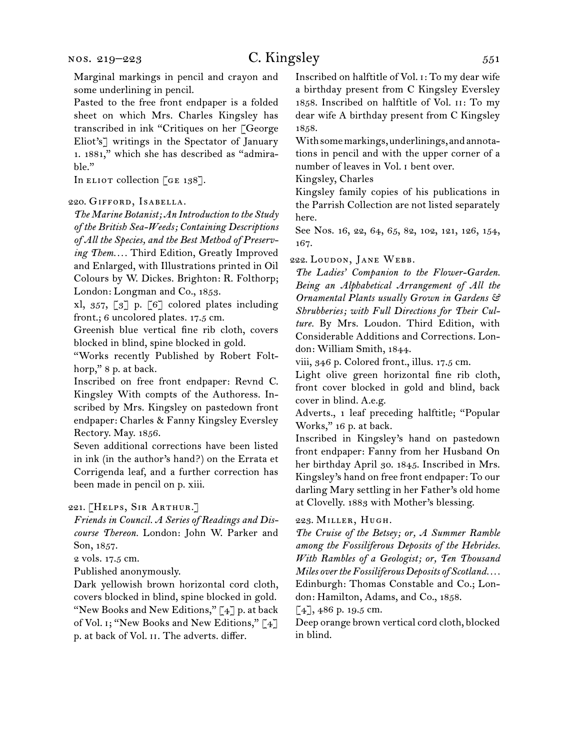Marginal markings in pencil and crayon and some underlining in pencil.

Pasted to the free front endpaper is a folded sheet on which Mrs. Charles Kingsley has transcribed in ink "Critiques on her [George Eliot's] writings in the Spectator of January 1. 1881," which she has described as "admirable."

In ELIOT collection  $\begin{bmatrix} G \end{bmatrix}$ .

#### 220. Gifford, Isabella.

*The Marine Botanist; An Introduction to the Study of the British Sea-Weeds; Containing Descriptions of All the Species, and the Best Method of Preserving Them. . . .* Third Edition, Greatly Improved and Enlarged, with Illustrations printed in Oil Colours by W. Dickes. Brighton: R. Folthorp; London: Longman and Co., 1853.

xl, 357, [3] p. [6] colored plates including front.; 6 uncolored plates. 17.5 cm.

Greenish blue vertical fine rib cloth, covers blocked in blind, spine blocked in gold.

"Works recently Published by Robert Folthorp," 8 p. at back.

Inscribed on free front endpaper: Revnd C. Kingsley With compts of the Authoress. Inscribed by Mrs. Kingsley on pastedown front endpaper: Charles & Fanny Kingsley Eversley Rectory. May. 1856.

Seven additional corrections have been listed in ink (in the author's hand?) on the Errata et Corrigenda leaf, and a further correction has been made in pencil on p. xiii.

#### 221. [Helps, Sir Arthur.]

*Friends in Council. A Series of Readings and Discourse Thereon.* London: John W. Parker and Son, 1857.

2 vols. 17.5 cm.

Published anonymously.

Dark yellowish brown horizontal cord cloth, covers blocked in blind, spine blocked in gold. "New Books and New Editions," [4] p. at back of Vol. i; "New Books and New Editions," [4] p. at back of Vol. ii. The adverts. differ.

Inscribed on halftitle of Vol. i: To my dear wife a birthday present from C Kingsley Eversley 1858. Inscribed on halftitle of Vol. ii: To my dear wife A birthday present from C Kingsley 1858.

With some markings, underlinings, and annotations in pencil and with the upper corner of a number of leaves in Vol. i bent over.

Kingsley, Charles

Kingsley family copies of his publications in the Parrish Collection are not listed separately here.

See Nos. 16, 22, 64, 65, 82, 102, 121, 126, 154, 167.

222. Loudon, Jane Webb.

*The Ladies' Companion to the Flower-Garden. Being an Alphabetical Arrangement of All the Ornamental Plants usually Grown in Gardens & Shrubberies; with Full Directions for Their Culture.* By Mrs. Loudon. Third Edition, with Considerable Additions and Corrections. London: William Smith, 1844.

viii, 346 p. Colored front., illus. 17.5 cm.

Light olive green horizontal fine rib cloth, front cover blocked in gold and blind, back cover in blind. A.e.g.

Adverts., 1 leaf preceding halftitle; "Popular Works," 16 p. at back.

Inscribed in Kingsley's hand on pastedown front endpaper: Fanny from her Husband On her birthday April 30. 1845. Inscribed in Mrs. Kingsley's hand on free front endpaper: To our darling Mary settling in her Father's old home at Clovelly. 1883 with Mother's blessing.

#### 223. Miller, Hugh.

*The Cruise of the Betsey; or, A Summer Ramble among the Fossiliferous Deposits of the Hebrides. With Rambles of a Geologist; or, Ten Thousand Miles over the Fossiliferous Deposits of Scotland. . . .* Edinburgh: Thomas Constable and Co.; London: Hamilton, Adams, and Co., 1858.

[4], 486 p. 19.5 cm.

Deep orange brown vertical cord cloth, blocked in blind.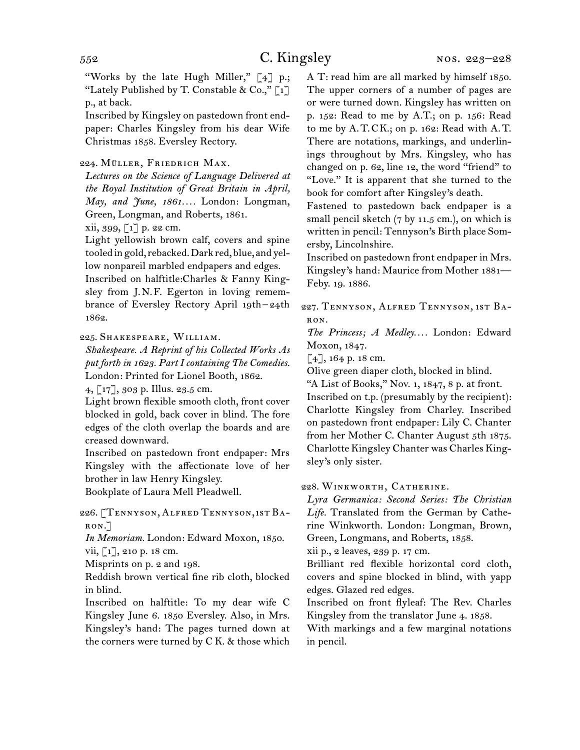"Works by the late Hugh Miller," [4] p.; "Lately Published by T. Constable & Co.,"  $\lceil 1 \rceil$ p., at back.

Inscribed by Kingsley on pastedown front endpaper: Charles Kingsley from his dear Wife Christmas 1858. Eversley Rectory.

#### 224. MÜLLER, FRIEDRICH MAX.

*Lectures on the Science of Language Delivered at the Royal Institution of Great Britain in April, May, and June, 1861. . . .* London: Longman, Green, Longman, and Roberts, 1861.

 $xii, 399, [1]$  p. 22 cm.

Light yellowish brown calf, covers and spine tooled in gold, rebacked. Dark red, blue, and yellow nonpareil marbled endpapers and edges. Inscribed on halftitle:Charles & Fanny Kingsley from J.N.F. Egerton in loving remem-

brance of Eversley Rectory April 19th-24th 1862.

225. Shakespeare, William.

*Shakespeare. A Reprint of his Collected Works As put forth in 1623. Part I containing The Comedies.* London: Printed for Lionel Booth, 1862.

4, [17], 303 p. Illus. 23.5 cm.

Light brown flexible smooth cloth, front cover blocked in gold, back cover in blind. The fore edges of the cloth overlap the boards and are creased downward.

Inscribed on pastedown front endpaper: Mrs Kingsley with the affectionate love of her brother in law Henry Kingsley.

Bookplate of Laura Mell Pleadwell.

### 226. [Tennyson, Alfred Tennyson, 1st Baron.]

*In Memoriam.* London: Edward Moxon, 1850.

vii, [1], 210 p. 18 cm.

Misprints on p. 2 and 198.

Reddish brown vertical fine rib cloth, blocked in blind.

Inscribed on halftitle: To my dear wife C Kingsley June 6. 1850 Eversley. Also, in Mrs. Kingsley's hand: The pages turned down at the corners were turned by C K. & those which

A T: read him are all marked by himself 1850. The upper corners of a number of pages are or were turned down. Kingsley has written on p. 152: Read to me by A.T.; on p. 156: Read to me by A.T.CK.; on p. 162: Read with A.T. There are notations, markings, and underlinings throughout by Mrs. Kingsley, who has changed on p. 62, line 12, the word "friend" to "Love." It is apparent that she turned to the book for comfort after Kingsley's death.

Fastened to pastedown back endpaper is a small pencil sketch (7 by 11.5 cm.), on which is written in pencil: Tennyson's Birth place Somersby, Lincolnshire.

Inscribed on pastedown front endpaper in Mrs. Kingsley's hand: Maurice from Mother 1881— Feby. 19. 1886.

227. Tennyson, Alfred Tennyson, 1st Baron.

*The Princess; A Medley. . . .* London: Edward Moxon, 1847.

 $[4]$ , 164 p. 18 cm.

Olive green diaper cloth, blocked in blind.

"A List of Books," Nov. 1,  $1847$ ,  $8$  p. at front.

Inscribed on t.p. (presumably by the recipient): Charlotte Kingsley from Charley. Inscribed on pastedown front endpaper: Lily C. Chanter from her Mother C. Chanter August 5th 1875. Charlotte Kingsley Chanter was Charles Kingsley's only sister.

228. Winkworth, Catherine.

*Lyra Germanica: Second Series: The Christian Life.* Translated from the German by Catherine Winkworth. London: Longman, Brown, Green, Longmans, and Roberts, 1858.

xii p., 2 leaves, 239 p. 17 cm.

Brilliant red flexible horizontal cord cloth, covers and spine blocked in blind, with yapp edges. Glazed red edges.

Inscribed on front flyleaf: The Rev. Charles Kingsley from the translator June 4. 1858.

With markings and a few marginal notations in pencil.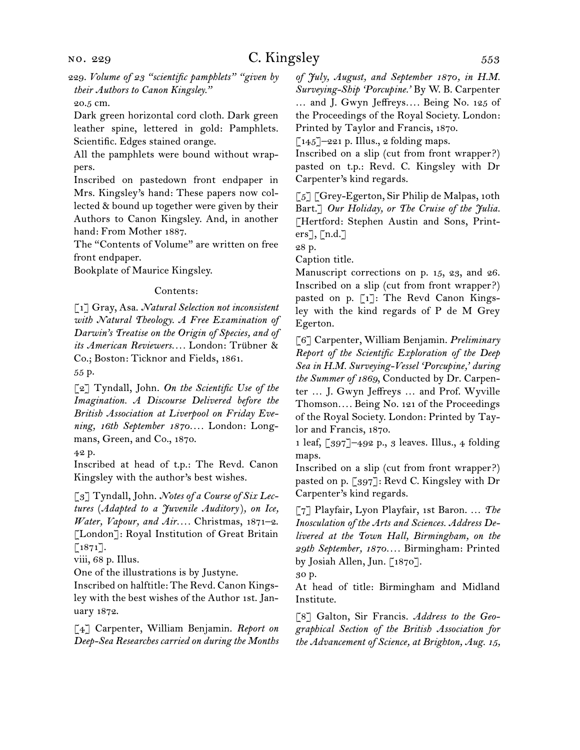#### 20.5 cm.

Dark green horizontal cord cloth. Dark green leather spine, lettered in gold: Pamphlets. Scientific. Edges stained orange.

All the pamphlets were bound without wrappers.

Inscribed on pastedown front endpaper in Mrs. Kingsley's hand: These papers now collected & bound up together were given by their Authors to Canon Kingsley. And, in another hand: From Mother 1887.

The "Contents of Volume" are written on free front endpaper.

Bookplate of Maurice Kingsley.

#### Contents:

[1] Gray, Asa. *Natural Selection not inconsistent with Natural Theology. A Free Examination of Darwin's Treatise on the Origin of Species, and of its American Reviewers. . . .* London: Trübner & Co.; Boston: Ticknor and Fields, 1861.

55 p.

[2] Tyndall, John. *On the Scientific Use of the Imagination. A Discourse Delivered before the British Association at Liverpool on Friday Evening, 16th September 1870. . . .* London: Longmans, Green, and Co., 1870.

42 p.

Inscribed at head of t.p.: The Revd. Canon Kingsley with the author's best wishes.

[3] Tyndall, John. *Notes of a Course of Six Lectures* (*Adapted to a Juvenile Auditory*)*, on Ice, Water, Vapour, and Air. . . .* Christmas, 1871–2. [London]: Royal Institution of Great Britain  $\lceil 1871 \rceil$ .

viii, 68 p. Illus.

One of the illustrations is by Justyne.

Inscribed on halftitle: The Revd. Canon Kingsley with the best wishes of the Author 1st. January 1872.

[4] Carpenter, William Benjamin. *Report on Deep-Sea Researches carried on during the Months*  *of July, August, and September 1870, in H.M. Surveying-Ship 'Porcupine.'* By W. B. Carpenter … and J. Gwyn Jeffreys*. . . .* Being No. 125 of the Proceedings of the Royal Society. London: Printed by Taylor and Francis, 1870.

 $\lceil 145 \rceil$ –221 p. Illus., 2 folding maps.

Inscribed on a slip (cut from front wrapper?) pasted on t.p.: Revd. C. Kingsley with Dr Carpenter's kind regards.

 $\lceil 5 \rceil$  [Grey-Egerton, Sir Philip de Malpas, 10th Bart.] *Our Holiday, or The Cruise of the Julia.*  [Hertford: Stephen Austin and Sons, Printers], [n.d.]

28 p.

Caption title.

Manuscript corrections on p. 15, 23, and 26. Inscribed on a slip (cut from front wrapper?) pasted on p. [1]: The Revd Canon Kingsley with the kind regards of P de M Grey Egerton.

[6] Carpenter, William Benjamin. *Preliminary Report of the Scientific Exploration of the Deep Sea in H.M. Surveying-Vessel 'Porcupine,' during the Summer of 1869*, Conducted by Dr. Carpenter … J. Gwyn Jeffreys … and Prof. Wyville Thomson*. . . .* Being No. 121 of the Proceedings of the Royal Society. London: Printed by Taylor and Francis, 1870.

1 leaf, [397]–492 p., 3 leaves. Illus., 4 folding maps.

Inscribed on a slip (cut from front wrapper?) pasted on p. [397]: Revd C. Kingsley with Dr Carpenter's kind regards.

[7] Playfair, Lyon Playfair, 1st Baron. … *The Inosculation of the Arts and Sciences. Address Delivered at the Town Hall, Birmingham, on the 29th September, 1870. . . .* Birmingham: Printed by Josiah Allen, Jun. [1870].

30 p.

At head of title: Birmingham and Midland Institute.

[8] Galton, Sir Francis. *Address to the Geographical Section of the British Association for the Advancement of Science, at Brighton, Aug. 15,*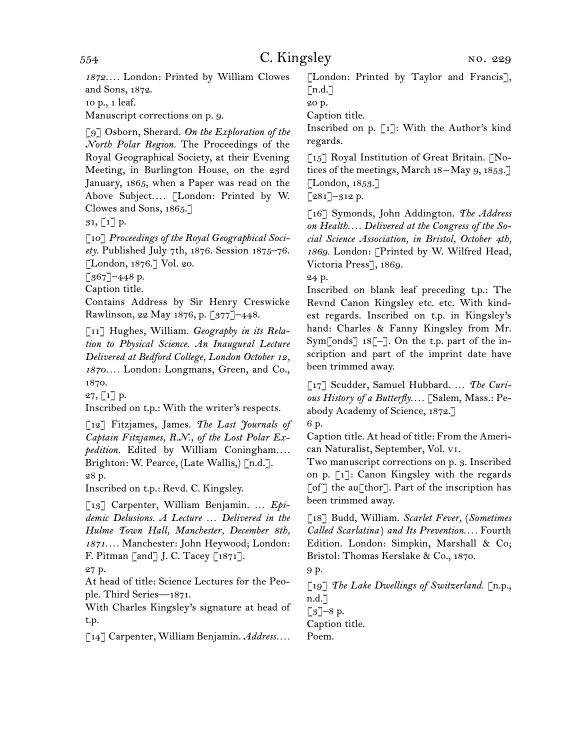*1872. . . .* London: Printed by William Clowes and Sons, 1872.

10 p., 1 leaf.

Manuscript corrections on p. 9.

[9] Osborn, Sherard. *On the Exploration of the North Polar Region.* The Proceedings of the Royal Geographical Society, at their Evening Meeting, in Burlington House, on the 23rd January, 1865, when a Paper was read on the Above Subject.... [London: Printed by W. Clowes and Sons, 1865.]

 $31, 1$ ] p.

[10] *Proceedings of the Royal Geographical Society.* Published July 7th, 1876. Session 1875–76. [London, 1876.] Vol. 20.

 $[367]$ –448 p.

Caption title.

Contains Address by Sir Henry Creswicke Rawlinson, 22 May 1876, p. [377]–448.

[11] Hughes, William. *Geography in its Relation to Physical Science. An Inaugural Lecture Delivered at Bedford College, London October 12, 1870. . . .* London: Longmans, Green, and Co., 1870.

27, [1] p.

Inscribed on t.p.: With the writer's respects.

[12] Fitzjames, James. *The Last Journals of Captain Fitzjames, R.N., of the Lost Polar Expedition.* Edited by William Coningham*. . . .*  Brighton: W. Pearce, (Late Wallis,) [n.d.]. 28 p.

Inscribed on t.p.: Revd. C. Kingsley.

[13] Carpenter, William Benjamin. … *Epidemic Delusions. A Lecture … Delivered in the Hulme Town Hall, Manchester, December 8th, 1871. . . .* Manchester: John Heywood; London: F. Pitman [and] J. C. Tacey [1871].

27 p.

At head of title: Science Lectures for the People. Third Series—1871.

With Charles Kingsley's signature at head of t.p.

[14] Carpenter, William Benjamin. *Address. . . .*

[London: Printed by Taylor and Francis],  $\lceil n.d. \rceil$ 

20 p.

Caption title.

Inscribed on p. [1]: With the Author's kind regards.

 $\lceil 15 \rceil$  Royal Institution of Great Britain.  $\lceil$ Notices of the meetings, March  $18 -$ May 9,  $1853$ . [London, 1853.]

 $\lceil 281 \rceil - 312 \text{ p.}$ 

[16] Symonds, John Addington. *The Address on Health. . . . Delivered at the Congress of the Social Science Association, in Bristol, October 4th, 1869.* London: [Printed by W. Wilfred Head, Victoria Press], 1869.

24 p.

Inscribed on blank leaf preceding t.p.: The Revnd Canon Kingsley etc. etc. With kindest regards. Inscribed on t.p. in Kingsley's hand: Charles & Fanny Kingsley from Mr. Sym[onds] 18[–]. On the t.p. part of the inscription and part of the imprint date have been trimmed away.

[17] Scudder, Samuel Hubbard. … *The Curious History of a Butterfly. . . .* [Salem, Mass.: Peabody Academy of Science, 1872.]

6 p.

Caption title. At head of title: From the American Naturalist, September, Vol. vi.

Two manuscript corrections on p. 3. Inscribed on p. [1]: Canon Kingsley with the regards  $\lceil$  of  $\rceil$  the au $\lceil$  thor  $\rceil$ . Part of the inscription has been trimmed away.

[18] Budd, William. *Scarlet Fever,* (*Sometimes Called Scarlatina* ) *and Its Prevention. . . .* Fourth Edition. London: Simpkin, Marshall & Co; Bristol: Thomas Kerslake & Co., 1870.

9 p.

[19] *The Lake Dwellings of Switzerland.* [n.p., n.d.]  $\lceil 3 \rceil - 8$  p.

Caption title.

Poem.